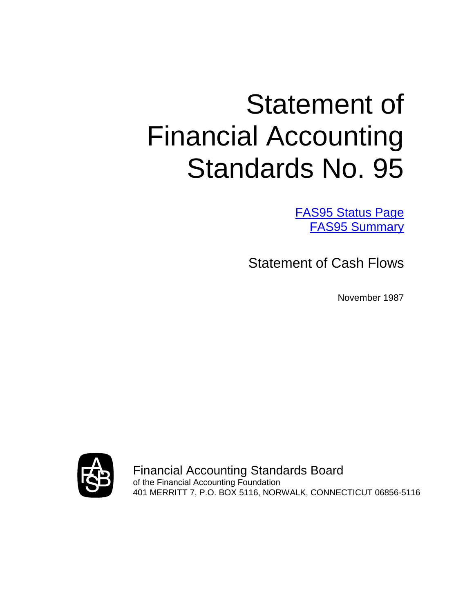# Statement of Financial Accounting Standards No. 95

[FAS95 Status Page](http://www.fasb.org/st/status/statpg95.shtml) [FAS95 Summary](http://www.fasb.org/st/summary/stsum95.shtml)

Statement of Cash Flows

November 1987



Financial Accounting Standards Board of the Financial Accounting Foundation 401 MERRITT 7, P.O. BOX 5116, NORWALK, CONNECTICUT 06856-5116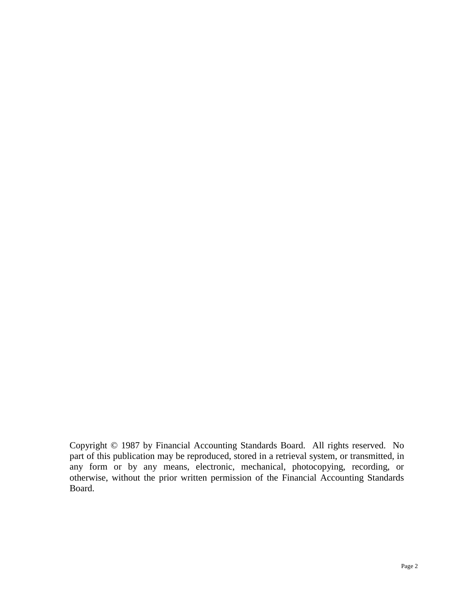Copyright © 1987 by Financial Accounting Standards Board. All rights reserved. No part of this publication may be reproduced, stored in a retrieval system, or transmitted, in any form or by any means, electronic, mechanical, photocopying, recording, or otherwise, without the prior written permission of the Financial Accounting Standards Board.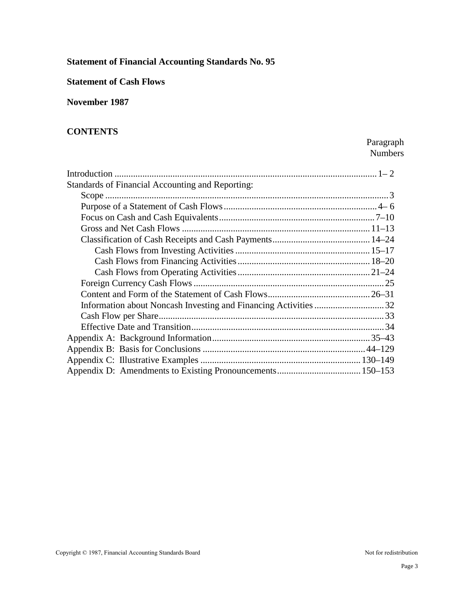# **Statement of Financial Accounting Standards No. 95**

**Statement of Cash Flows**

## **November 1987**

#### **CONTENTS**

Paragraph Numbers

| Standards of Financial Accounting and Reporting:                |  |
|-----------------------------------------------------------------|--|
|                                                                 |  |
|                                                                 |  |
|                                                                 |  |
|                                                                 |  |
|                                                                 |  |
|                                                                 |  |
|                                                                 |  |
|                                                                 |  |
|                                                                 |  |
|                                                                 |  |
| Information about Noncash Investing and Financing Activities 32 |  |
|                                                                 |  |
|                                                                 |  |
|                                                                 |  |
|                                                                 |  |
|                                                                 |  |
|                                                                 |  |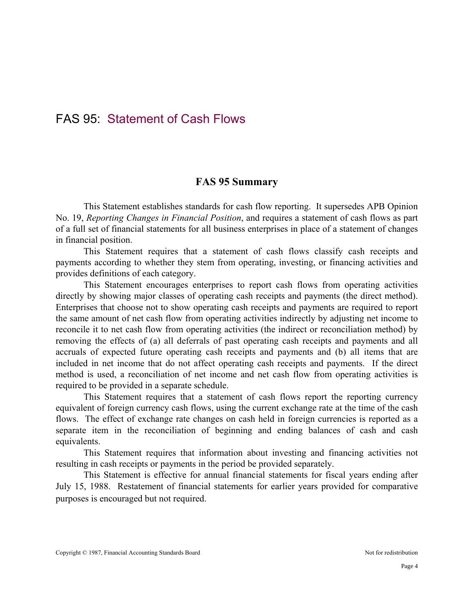# FAS 95: Statement of Cash Flows

## **FAS 95 Summary**

 This Statement establishes standards for cash flow reporting. It supersedes APB Opinion No. 19, *Reporting Changes in Financial Position*, and requires a statement of cash flows as part of a full set of financial statements for all business enterprises in place of a statement of changes in financial position.

 This Statement requires that a statement of cash flows classify cash receipts and payments according to whether they stem from operating, investing, or financing activities and provides definitions of each category.

 This Statement encourages enterprises to report cash flows from operating activities directly by showing major classes of operating cash receipts and payments (the direct method). Enterprises that choose not to show operating cash receipts and payments are required to report the same amount of net cash flow from operating activities indirectly by adjusting net income to reconcile it to net cash flow from operating activities (the indirect or reconciliation method) by removing the effects of (a) all deferrals of past operating cash receipts and payments and all accruals of expected future operating cash receipts and payments and (b) all items that are included in net income that do not affect operating cash receipts and payments. If the direct method is used, a reconciliation of net income and net cash flow from operating activities is required to be provided in a separate schedule.

 This Statement requires that a statement of cash flows report the reporting currency equivalent of foreign currency cash flows, using the current exchange rate at the time of the cash flows. The effect of exchange rate changes on cash held in foreign currencies is reported as a separate item in the reconciliation of beginning and ending balances of cash and cash equivalents.

 This Statement requires that information about investing and financing activities not resulting in cash receipts or payments in the period be provided separately.

 This Statement is effective for annual financial statements for fiscal years ending after July 15, 1988. Restatement of financial statements for earlier years provided for comparative purposes is encouraged but not required.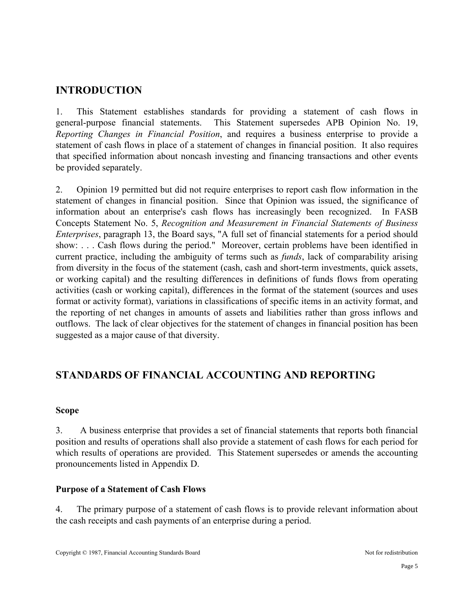# **INTRODUCTION**

1. This Statement establishes standards for providing a statement of cash flows in general-purpose financial statements. This Statement supersedes APB Opinion No. 19, *Reporting Changes in Financial Position*, and requires a business enterprise to provide a statement of cash flows in place of a statement of changes in financial position. It also requires that specified information about noncash investing and financing transactions and other events be provided separately.

2. Opinion 19 permitted but did not require enterprises to report cash flow information in the statement of changes in financial position. Since that Opinion was issued, the significance of information about an enterprise's cash flows has increasingly been recognized. In FASB Concepts Statement No. 5, *Recognition and Measurement in Financial Statements of Business Enterprises*, paragraph 13, the Board says, "A full set of financial statements for a period should show: . . . Cash flows during the period." Moreover, certain problems have been identified in current practice, including the ambiguity of terms such as *funds*, lack of comparability arising from diversity in the focus of the statement (cash, cash and short-term investments, quick assets, or working capital) and the resulting differences in definitions of funds flows from operating activities (cash or working capital), differences in the format of the statement (sources and uses format or activity format), variations in classifications of specific items in an activity format, and the reporting of net changes in amounts of assets and liabilities rather than gross inflows and outflows. The lack of clear objectives for the statement of changes in financial position has been suggested as a major cause of that diversity.

# **STANDARDS OF FINANCIAL ACCOUNTING AND REPORTING**

## **Scope**

3. A business enterprise that provides a set of financial statements that reports both financial position and results of operations shall also provide a statement of cash flows for each period for which results of operations are provided. This Statement supersedes or amends the accounting pronouncements listed in Appendix D.

## **Purpose of a Statement of Cash Flows**

4. The primary purpose of a statement of cash flows is to provide relevant information about the cash receipts and cash payments of an enterprise during a period.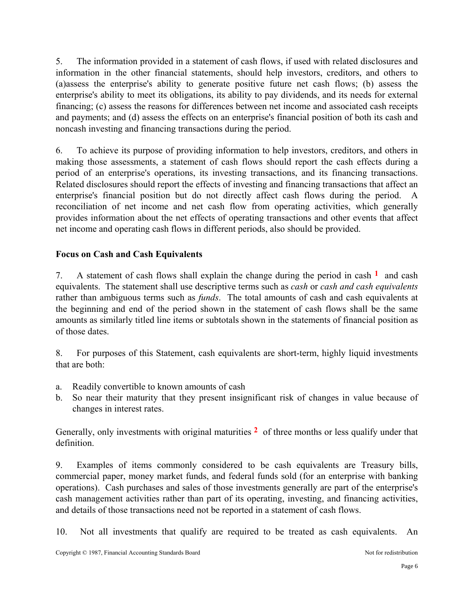5. The information provided in a statement of cash flows, if used with related disclosures and information in the other financial statements, should help investors, creditors, and others to (a)assess the enterprise's ability to generate positive future net cash flows; (b) assess the enterprise's ability to meet its obligations, its ability to pay dividends, and its needs for external financing; (c) assess the reasons for differences between net income and associated cash receipts and payments; and (d) assess the effects on an enterprise's financial position of both its cash and noncash investing and financing transactions during the period.

6. To achieve its purpose of providing information to help investors, creditors, and others in making those assessments, a statement of cash flows should report the cash effects during a period of an enterprise's operations, its investing transactions, and its financing transactions. Related disclosures should report the effects of investing and financing transactions that affect an enterprise's financial position but do not directly affect cash flows during the period. A reconciliation of net income and net cash flow from operating activities, which generally provides information about the net effects of operating transactions and other events that affect net income and operating cash flows in different periods, also should be provided.

# **Focus on Cash and Cash Equivalents**

7. A statement of cash flows shall explain the change during the period in cash **1**and cash equivalents. The statement shall use descriptive terms such as *cash* or *cash and cash equivalents* rather than ambiguous terms such as *funds*. The total amounts of cash and cash equivalents at the beginning and end of the period shown in the statement of cash flows shall be the same amounts as similarly titled line items or subtotals shown in the statements of financial position as of those dates.

8. For purposes of this Statement, cash equivalents are short-term, highly liquid investments that are both:

- a. Readily convertible to known amounts of cash
- b. So near their maturity that they present insignificant risk of changes in value because of changes in interest rates.

Generally, only investments with original maturitie[s](#page-62-0) **2** of three months or less qualify under that definition.

9. Examples of items commonly considered to be cash equivalents are Treasury bills, commercial paper, money market funds, and federal funds sold (for an enterprise with banking operations). Cash purchases and sales of those investments generally are part of the enterprise's cash management activities rather than part of its operating, investing, and financing activities, and details of those transactions need not be reported in a statement of cash flows.

10. Not all investments that qualify are required to be treated as cash equivalents. An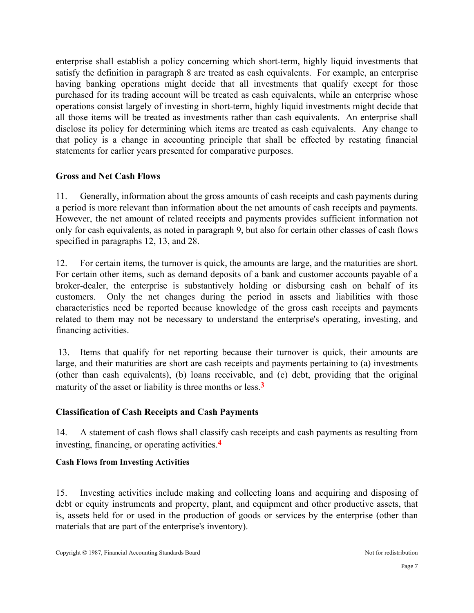enterprise shall establish a policy concerning which short-term, highly liquid investments that satisfy the definition in paragraph 8 are treated as cash equivalents. For example, an enterprise having banking operations might decide that all investments that qualify except for those purchased for its trading account will be treated as cash equivalents, while an enterprise whose operations consist largely of investing in short-term, highly liquid investments might decide that all those items will be treated as investments rather than cash equivalents. An enterprise shall disclose its policy for determining which items are treated as cash equivalents. Any change to that policy is a change in accounting principle that shall be effected by restating financial statements for earlier years presented for comparative purposes.

# **Gross and Net Cash Flows**

11. Generally, information about the gross amounts of cash receipts and cash payments during a period is more relevant than information about the net amounts of cash receipts and payments. However, the net amount of related receipts and payments provides sufficient information not only for cash equivalents, as noted in paragraph 9, but also for certain other classes of cash flows specified in paragraphs 12, 13, and 28.

12. For certain items, the turnover is quick, the amounts are large, and the maturities are short. For certain other items, such as demand deposits of a bank and customer accounts payable of a broker-dealer, the enterprise is substantively holding or disbursing cash on behalf of its customers. Only the net changes during the period in assets and liabilities with those characteristics need be reported because knowledge of the gross cash receipts and payments related to them may not be necessary to understand the enterprise's operating, investing, and financing activities.

13. Items that qualify for net reporting because their turnover is quick, their amounts are large, and their maturities are short are cash receipts and payments pertaining to (a) investments (other than cash equivalents), (b) loans receivable, and (c) debt, providing that the original maturity of the asset or liability is three months or les[s.](#page-62-0)**3**

## **Classification of Cash Receipts and Cash Payments**

14. A statement of cash flows shall classify cash receipts and cash payments as resulting from investing, financing, or operating activitie[s.](#page-62-0)**4**

## **Cash Flows from Investing Activities**

15. Investing activities include making and collecting loans and acquiring and disposing of debt or equity instruments and property, plant, and equipment and other productive assets, that is, assets held for or used in the production of goods or services by the enterprise (other than materials that are part of the enterprise's inventory).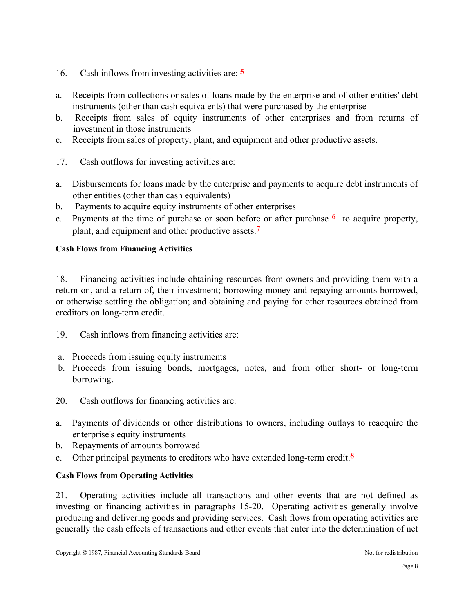- 16. Cash inflows from investing activities ar[e:](#page-62-0) **5**
- a. Receipts from collections or sales of loans made by the enterprise and of other entities' debt instruments (other than cash equivalents) that were purchased by the enterprise
- b. Receipts from sales of equity instruments of other enterprises and from returns of investment in those instruments
- c. Receipts from sales of property, plant, and equipment and other productive assets.
- 17. Cash outflows for investing activities are:
- a. Disbursements for loans made by the enterprise and payments to acquire debt instruments of other entities (other than cash equivalents)
- b. Payments to acquire equity instruments of other enterprises
- c. Payments at the time of purchase or soon before or after purcha[se](#page-62-0) **6** to acquire property, plant, and equipment and other productive asse[ts.](#page-62-0)**7**

## **Cash Flows from Financing Activities**

18. Financing activities include obtaining resources from owners and providing them with a return on, and a return of, their investment; borrowing money and repaying amounts borrowed, or otherwise settling the obligation; and obtaining and paying for other resources obtained from creditors on long-term credit.

- 19. Cash inflows from financing activities are:
- a. Proceeds from issuing equity instruments
- b. Proceeds from issuing bonds, mortgages, notes, and from other short- or long-term borrowing.
- 20. Cash outflows for financing activities are:
- a. Payments of dividends or other distributions to owners, including outlays to reacquire the enterprise's equity instruments
- b. Repayments of amounts borrowed
- c. Other principal payments to creditors who have extended long-term cred[it.](#page-63-0)**8**

## **Cash Flows from Operating Activities**

21. Operating activities include all transactions and other events that are not defined as investing or financing activities in paragraphs 15-20. Operating activities generally involve producing and delivering goods and providing services. Cash flows from operating activities are generally the cash effects of transactions and other events that enter into the determination of net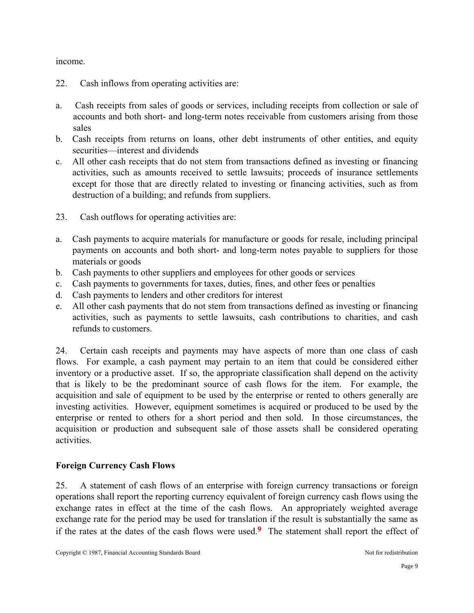income.

- 22. Cash inflows from operating activities are:
- a. Cash receipts from sales of goods or services, including receipts from collection or sale of accounts and both short- and long-term notes receivable from customers arising from those sales
- b. Cash receipts from returns on loans, other debt instruments of other entities, and equity securities—interest and dividends
- c. All other cash receipts that do not stem from transactions defined as investing or financing activities, such as amounts received to settle lawsuits; proceeds of insurance settlements except for those that are directly related to investing or financing activities, such as from destruction of a building; and refunds from suppliers.
- 23. Cash outflows for operating activities are:
- a. Cash payments to acquire materials for manufacture or goods for resale, including principal payments on accounts and both short- and long-term notes payable to suppliers for those materials or goods
- b. Cash payments to other suppliers and employees for other goods or services
- c. Cash payments to governments for taxes, duties, fines, and other fees or penalties
- d. Cash payments to lenders and other creditors for interest
- e. All other cash payments that do not stem from transactions defined as investing or financing activities, such as payments to settle lawsuits, cash contributions to charities, and cash refunds to customers.

24. Certain cash receipts and payments may have aspects of more than one class of cash flows. For example, a cash payment may pertain to an item that could be considered either inventory or a productive asset. If so, the appropriate classification shall depend on the activity that is likely to be the predominant source of cash flows for the item. For example, the acquisition and sale of equipment to be used by the enterprise or rented to others generally are investing activities. However, equipment sometimes is acquired or produced to be used by the enterprise or rented to others for a short period and then sold. In those circumstances, the acquisition or production and subsequent sale of those assets shall be considered operating activities.

# **Foreign Currency Cash Flows**

25. A statement of cash flows of an enterprise with foreign currency transactions or foreign operations shall report the reporting currency equivalent of foreign currency cash flows using the exchange rates in effect at the time of the cash flows. An appropriately weighted average exchange rate for the period may be used for translation if the result is substantially the same as if the rates at the dates of the cash flows were use[d.](#page-63-0)**9** The statement shall report the effect of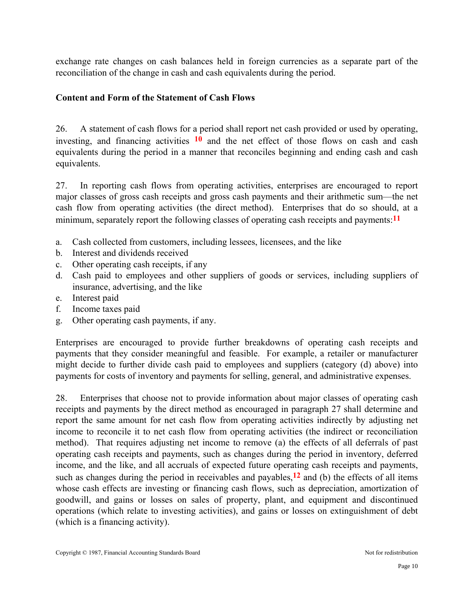exchange rate changes on cash balances held in foreign currencies as a separate part of the reconciliation of the change in cash and cash equivalents during the period.

# **Content and Form of the Statement of Cash Flows**

26. A statement of cash flows for a period shall report net cash provided or used by operating, investing, and financing activities **[10](#page-63-0)** and the net effect of those flows on cash and cash equivalents during the period in a manner that reconciles beginning and ending cash and cash equivalents.

27. In reporting cash flows from operating activities, enterprises are encouraged to report major classes of gross cash receipts and gross cash payments and their arithmetic sum—the net cash flow from operating activities (the direct method). Enterprises that do so should, at a minimum, separately report the following classes of operating cash receipts and payments:**[11](#page-63-0)**

- a. Cash collected from customers, including lessees, licensees, and the like
- b. Interest and dividends received
- c. Other operating cash receipts, if any
- d. Cash paid to employees and other suppliers of goods or services, including suppliers of insurance, advertising, and the like
- e. Interest paid
- f. Income taxes paid
- g. Other operating cash payments, if any.

Enterprises are encouraged to provide further breakdowns of operating cash receipts and payments that they consider meaningful and feasible. For example, a retailer or manufacturer might decide to further divide cash paid to employees and suppliers (category (d) above) into payments for costs of inventory and payments for selling, general, and administrative expenses.

28. Enterprises that choose not to provide information about major classes of operating cash receipts and payments by the direct method as encouraged in paragraph 27 shall determine and report the same amount for net cash flow from operating activities indirectly by adjusting net income to reconcile it to net cash flow from operating activities (the indirect or reconciliation method). That requires adjusting net income to remove (a) the effects of all deferrals of past operating cash receipts and payments, such as changes during the period in inventory, deferred income, and the like, and all accruals of expected future operating cash receipts and payments, such as changes during the period in receivables and payables,**[12](#page-63-0)** and (b) the effects of all items whose cash effects are investing or financing cash flows, such as depreciation, amortization of goodwill, and gains or losses on sales of property, plant, and equipment and discontinued operations (which relate to investing activities), and gains or losses on extinguishment of debt (which is a financing activity).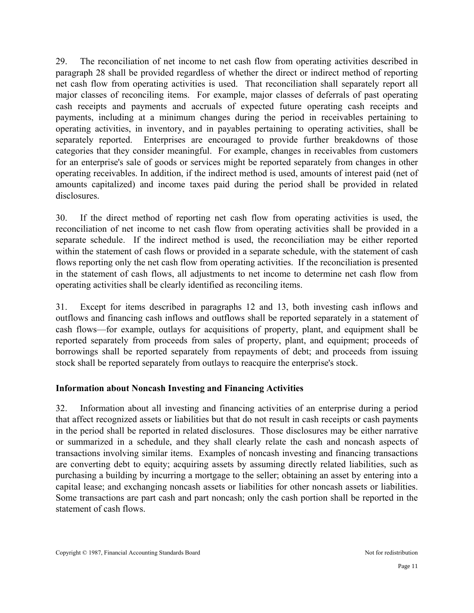29. The reconciliation of net income to net cash flow from operating activities described in paragraph 28 shall be provided regardless of whether the direct or indirect method of reporting net cash flow from operating activities is used. That reconciliation shall separately report all major classes of reconciling items. For example, major classes of deferrals of past operating cash receipts and payments and accruals of expected future operating cash receipts and payments, including at a minimum changes during the period in receivables pertaining to operating activities, in inventory, and in payables pertaining to operating activities, shall be separately reported. Enterprises are encouraged to provide further breakdowns of those categories that they consider meaningful. For example, changes in receivables from customers for an enterprise's sale of goods or services might be reported separately from changes in other operating receivables. In addition, if the indirect method is used, amounts of interest paid (net of amounts capitalized) and income taxes paid during the period shall be provided in related disclosures.

30. If the direct method of reporting net cash flow from operating activities is used, the reconciliation of net income to net cash flow from operating activities shall be provided in a separate schedule. If the indirect method is used, the reconciliation may be either reported within the statement of cash flows or provided in a separate schedule, with the statement of cash flows reporting only the net cash flow from operating activities. If the reconciliation is presented in the statement of cash flows, all adjustments to net income to determine net cash flow from operating activities shall be clearly identified as reconciling items.

31. Except for items described in paragraphs 12 and 13, both investing cash inflows and outflows and financing cash inflows and outflows shall be reported separately in a statement of cash flows—for example, outlays for acquisitions of property, plant, and equipment shall be reported separately from proceeds from sales of property, plant, and equipment; proceeds of borrowings shall be reported separately from repayments of debt; and proceeds from issuing stock shall be reported separately from outlays to reacquire the enterprise's stock.

## **Information about Noncash Investing and Financing Activities**

32. Information about all investing and financing activities of an enterprise during a period that affect recognized assets or liabilities but that do not result in cash receipts or cash payments in the period shall be reported in related disclosures. Those disclosures may be either narrative or summarized in a schedule, and they shall clearly relate the cash and noncash aspects of transactions involving similar items. Examples of noncash investing and financing transactions are converting debt to equity; acquiring assets by assuming directly related liabilities, such as purchasing a building by incurring a mortgage to the seller; obtaining an asset by entering into a capital lease; and exchanging noncash assets or liabilities for other noncash assets or liabilities. Some transactions are part cash and part noncash; only the cash portion shall be reported in the statement of cash flows.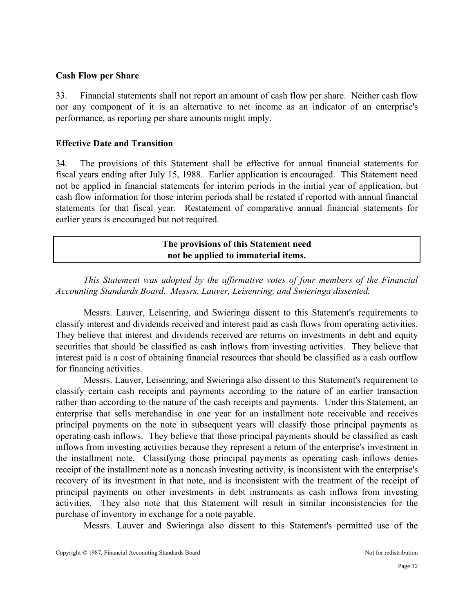## **Cash Flow per Share**

33. Financial statements shall not report an amount of cash flow per share. Neither cash flow nor any component of it is an alternative to net income as an indicator of an enterprise's performance, as reporting per share amounts might imply.

## **Effective Date and Transition**

34. The provisions of this Statement shall be effective for annual financial statements for fiscal years ending after July 15, 1988. Earlier application is encouraged. This Statement need not be applied in financial statements for interim periods in the initial year of application, but cash flow information for those interim periods shall be restated if reported with annual financial statements for that fiscal year. Restatement of comparative annual financial statements for earlier years is encouraged but not required.

## **The provisions of this Statement need not be applied to immaterial items.**

 *This Statement was adopted by the affirmative votes of four members of the Financial Accounting Standards Board. Messrs. Lauver, Leisenring, and Swieringa dissented.*

 Messrs. Lauver, Leisenring, and Swieringa dissent to this Statement's requirements to classify interest and dividends received and interest paid as cash flows from operating activities. They believe that interest and dividends received are returns on investments in debt and equity securities that should be classified as cash inflows from investing activities. They believe that interest paid is a cost of obtaining financial resources that should be classified as a cash outflow for financing activities.

 Messrs. Lauver, Leisenring, and Swieringa also dissent to this Statement's requirement to classify certain cash receipts and payments according to the nature of an earlier transaction rather than according to the nature of the cash receipts and payments. Under this Statement, an enterprise that sells merchandise in one year for an installment note receivable and receives principal payments on the note in subsequent years will classify those principal payments as operating cash inflows. They believe that those principal payments should be classified as cash inflows from investing activities because they represent a return of the enterprise's investment in the installment note. Classifying those principal payments as operating cash inflows denies receipt of the installment note as a noncash investing activity, is inconsistent with the enterprise's recovery of its investment in that note, and is inconsistent with the treatment of the receipt of principal payments on other investments in debt instruments as cash inflows from investing activities. They also note that this Statement will result in similar inconsistencies for the purchase of inventory in exchange for a note payable.

Messrs. Lauver and Swieringa also dissent to this Statement's permitted use of the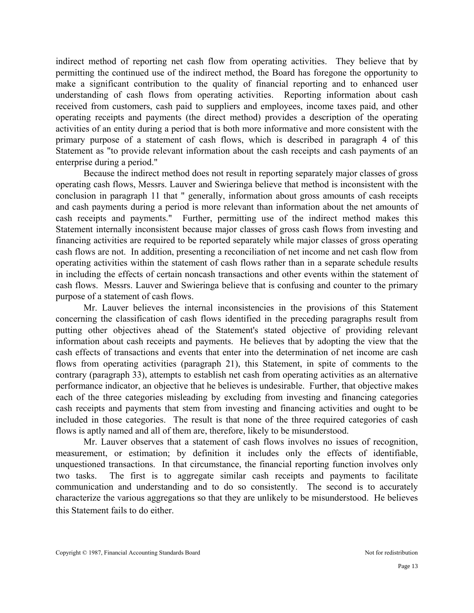indirect method of reporting net cash flow from operating activities. They believe that by permitting the continued use of the indirect method, the Board has foregone the opportunity to make a significant contribution to the quality of financial reporting and to enhanced user understanding of cash flows from operating activities. Reporting information about cash received from customers, cash paid to suppliers and employees, income taxes paid, and other operating receipts and payments (the direct method) provides a description of the operating activities of an entity during a period that is both more informative and more consistent with the primary purpose of a statement of cash flows, which is described in paragraph 4 of this Statement as "to provide relevant information about the cash receipts and cash payments of an enterprise during a period."

 Because the indirect method does not result in reporting separately major classes of gross operating cash flows, Messrs. Lauver and Swieringa believe that method is inconsistent with the conclusion in paragraph 11 that " generally, information about gross amounts of cash receipts and cash payments during a period is more relevant than information about the net amounts of cash receipts and payments." Further, permitting use of the indirect method makes this Statement internally inconsistent because major classes of gross cash flows from investing and financing activities are required to be reported separately while major classes of gross operating cash flows are not. In addition, presenting a reconciliation of net income and net cash flow from operating activities within the statement of cash flows rather than in a separate schedule results in including the effects of certain noncash transactions and other events within the statement of cash flows. Messrs. Lauver and Swieringa believe that is confusing and counter to the primary purpose of a statement of cash flows.

 Mr. Lauver believes the internal inconsistencies in the provisions of this Statement concerning the classification of cash flows identified in the preceding paragraphs result from putting other objectives ahead of the Statement's stated objective of providing relevant information about cash receipts and payments. He believes that by adopting the view that the cash effects of transactions and events that enter into the determination of net income are cash flows from operating activities (paragraph 21), this Statement, in spite of comments to the contrary (paragraph 33), attempts to establish net cash from operating activities as an alternative performance indicator, an objective that he believes is undesirable. Further, that objective makes each of the three categories misleading by excluding from investing and financing categories cash receipts and payments that stem from investing and financing activities and ought to be included in those categories. The result is that none of the three required categories of cash flows is aptly named and all of them are, therefore, likely to be misunderstood.

 Mr. Lauver observes that a statement of cash flows involves no issues of recognition, measurement, or estimation; by definition it includes only the effects of identifiable, unquestioned transactions. In that circumstance, the financial reporting function involves only two tasks. The first is to aggregate similar cash receipts and payments to facilitate communication and understanding and to do so consistently. The second is to accurately characterize the various aggregations so that they are unlikely to be misunderstood. He believes this Statement fails to do either.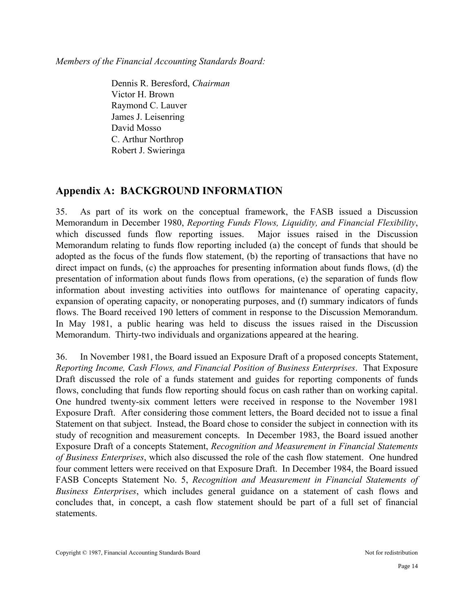*Members of the Financial Accounting Standards Board:*

 Dennis R. Beresford, *Chairman* Victor H. Brown Raymond C. Lauver James J. Leisenring David Mosso C. Arthur Northrop Robert J. Swieringa

# **Appendix A: BACKGROUND INFORMATION**

35. As part of its work on the conceptual framework, the FASB issued a Discussion Memorandum in December 1980, *Reporting Funds Flows, Liquidity, and Financial Flexibility*, which discussed funds flow reporting issues. Major issues raised in the Discussion Memorandum relating to funds flow reporting included (a) the concept of funds that should be adopted as the focus of the funds flow statement, (b) the reporting of transactions that have no direct impact on funds, (c) the approaches for presenting information about funds flows, (d) the presentation of information about funds flows from operations, (e) the separation of funds flow information about investing activities into outflows for maintenance of operating capacity, expansion of operating capacity, or nonoperating purposes, and (f) summary indicators of funds flows. The Board received 190 letters of comment in response to the Discussion Memorandum. In May 1981, a public hearing was held to discuss the issues raised in the Discussion Memorandum. Thirty-two individuals and organizations appeared at the hearing.

36. In November 1981, the Board issued an Exposure Draft of a proposed concepts Statement, *Reporting Income, Cash Flows, and Financial Position of Business Enterprises*. That Exposure Draft discussed the role of a funds statement and guides for reporting components of funds flows, concluding that funds flow reporting should focus on cash rather than on working capital. One hundred twenty-six comment letters were received in response to the November 1981 Exposure Draft. After considering those comment letters, the Board decided not to issue a final Statement on that subject. Instead, the Board chose to consider the subject in connection with its study of recognition and measurement concepts. In December 1983, the Board issued another Exposure Draft of a concepts Statement, *Recognition and Measurement in Financial Statements of Business Enterprises*, which also discussed the role of the cash flow statement. One hundred four comment letters were received on that Exposure Draft. In December 1984, the Board issued FASB Concepts Statement No. 5, *Recognition and Measurement in Financial Statements of Business Enterprises*, which includes general guidance on a statement of cash flows and concludes that, in concept, a cash flow statement should be part of a full set of financial statements.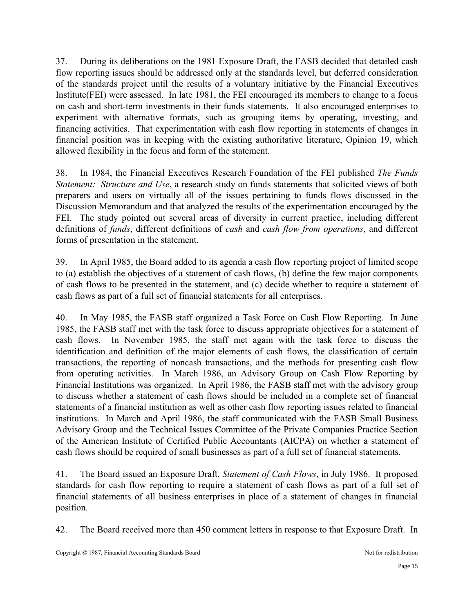37. During its deliberations on the 1981 Exposure Draft, the FASB decided that detailed cash flow reporting issues should be addressed only at the standards level, but deferred consideration of the standards project until the results of a voluntary initiative by the Financial Executives Institute(FEI) were assessed. In late 1981, the FEI encouraged its members to change to a focus on cash and short-term investments in their funds statements. It also encouraged enterprises to experiment with alternative formats, such as grouping items by operating, investing, and financing activities. That experimentation with cash flow reporting in statements of changes in financial position was in keeping with the existing authoritative literature, Opinion 19, which allowed flexibility in the focus and form of the statement.

38. In 1984, the Financial Executives Research Foundation of the FEI published *The Funds Statement: Structure and Use*, a research study on funds statements that solicited views of both preparers and users on virtually all of the issues pertaining to funds flows discussed in the Discussion Memorandum and that analyzed the results of the experimentation encouraged by the FEI. The study pointed out several areas of diversity in current practice, including different definitions of *funds*, different definitions of *cash* and *cash flow from operations*, and different forms of presentation in the statement.

39. In April 1985, the Board added to its agenda a cash flow reporting project of limited scope to (a) establish the objectives of a statement of cash flows, (b) define the few major components of cash flows to be presented in the statement, and (c) decide whether to require a statement of cash flows as part of a full set of financial statements for all enterprises.

40. In May 1985, the FASB staff organized a Task Force on Cash Flow Reporting. In June 1985, the FASB staff met with the task force to discuss appropriate objectives for a statement of cash flows. In November 1985, the staff met again with the task force to discuss the identification and definition of the major elements of cash flows, the classification of certain transactions, the reporting of noncash transactions, and the methods for presenting cash flow from operating activities. In March 1986, an Advisory Group on Cash Flow Reporting by Financial Institutions was organized. In April 1986, the FASB staff met with the advisory group to discuss whether a statement of cash flows should be included in a complete set of financial statements of a financial institution as well as other cash flow reporting issues related to financial institutions. In March and April 1986, the staff communicated with the FASB Small Business Advisory Group and the Technical Issues Committee of the Private Companies Practice Section of the American Institute of Certified Public Accountants (AICPA) on whether a statement of cash flows should be required of small businesses as part of a full set of financial statements.

41. The Board issued an Exposure Draft, *Statement of Cash Flows*, in July 1986. It proposed standards for cash flow reporting to require a statement of cash flows as part of a full set of financial statements of all business enterprises in place of a statement of changes in financial position.

42. The Board received more than 450 comment letters in response to that Exposure Draft. In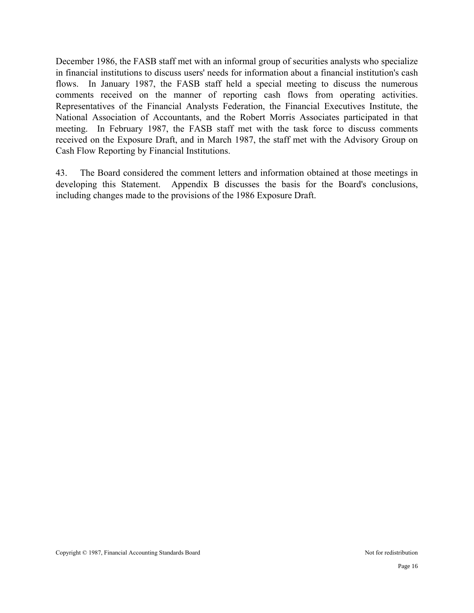December 1986, the FASB staff met with an informal group of securities analysts who specialize in financial institutions to discuss users' needs for information about a financial institution's cash flows. In January 1987, the FASB staff held a special meeting to discuss the numerous comments received on the manner of reporting cash flows from operating activities. Representatives of the Financial Analysts Federation, the Financial Executives Institute, the National Association of Accountants, and the Robert Morris Associates participated in that meeting. In February 1987, the FASB staff met with the task force to discuss comments received on the Exposure Draft, and in March 1987, the staff met with the Advisory Group on Cash Flow Reporting by Financial Institutions.

43. The Board considered the comment letters and information obtained at those meetings in developing this Statement. Appendix B discusses the basis for the Board's conclusions, including changes made to the provisions of the 1986 Exposure Draft.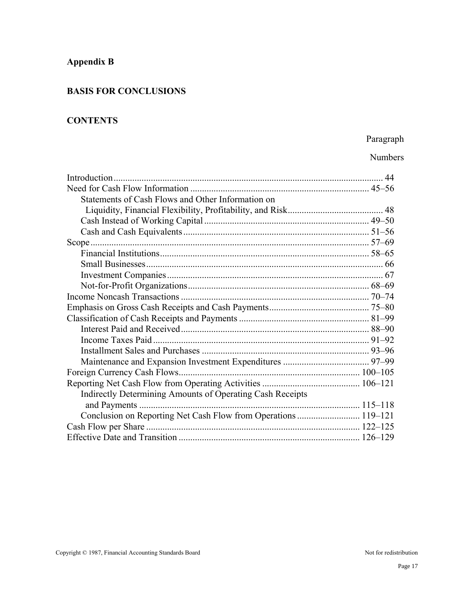# **Appendix B**

# **BASIS FOR CONCLUSIONS**

# **CONTENTS**

# Paragraph

## Numbers

| Statements of Cash Flows and Other Information on              |  |
|----------------------------------------------------------------|--|
|                                                                |  |
|                                                                |  |
|                                                                |  |
|                                                                |  |
|                                                                |  |
|                                                                |  |
|                                                                |  |
|                                                                |  |
|                                                                |  |
|                                                                |  |
|                                                                |  |
|                                                                |  |
|                                                                |  |
|                                                                |  |
|                                                                |  |
|                                                                |  |
|                                                                |  |
| Indirectly Determining Amounts of Operating Cash Receipts      |  |
|                                                                |  |
| Conclusion on Reporting Net Cash Flow from Operations  119–121 |  |
|                                                                |  |
|                                                                |  |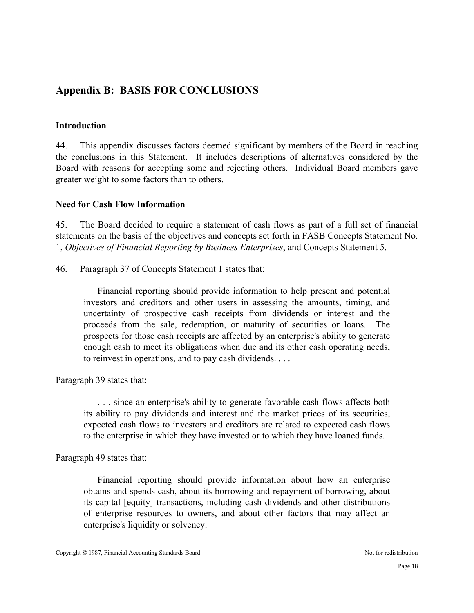# **Appendix B: BASIS FOR CONCLUSIONS**

## **Introduction**

44. This appendix discusses factors deemed significant by members of the Board in reaching the conclusions in this Statement. It includes descriptions of alternatives considered by the Board with reasons for accepting some and rejecting others. Individual Board members gave greater weight to some factors than to others.

#### **Need for Cash Flow Information**

45. The Board decided to require a statement of cash flows as part of a full set of financial statements on the basis of the objectives and concepts set forth in FASB Concepts Statement No. 1, *Objectives of Financial Reporting by Business Enterprises*, and Concepts Statement 5.

46. Paragraph 37 of Concepts Statement 1 states that:

 Financial reporting should provide information to help present and potential investors and creditors and other users in assessing the amounts, timing, and uncertainty of prospective cash receipts from dividends or interest and the proceeds from the sale, redemption, or maturity of securities or loans. The prospects for those cash receipts are affected by an enterprise's ability to generate enough cash to meet its obligations when due and its other cash operating needs, to reinvest in operations, and to pay cash dividends. . . .

Paragraph 39 states that:

 . . . since an enterprise's ability to generate favorable cash flows affects both its ability to pay dividends and interest and the market prices of its securities, expected cash flows to investors and creditors are related to expected cash flows to the enterprise in which they have invested or to which they have loaned funds.

Paragraph 49 states that:

 Financial reporting should provide information about how an enterprise obtains and spends cash, about its borrowing and repayment of borrowing, about its capital [equity] transactions, including cash dividends and other distributions of enterprise resources to owners, and about other factors that may affect an enterprise's liquidity or solvency.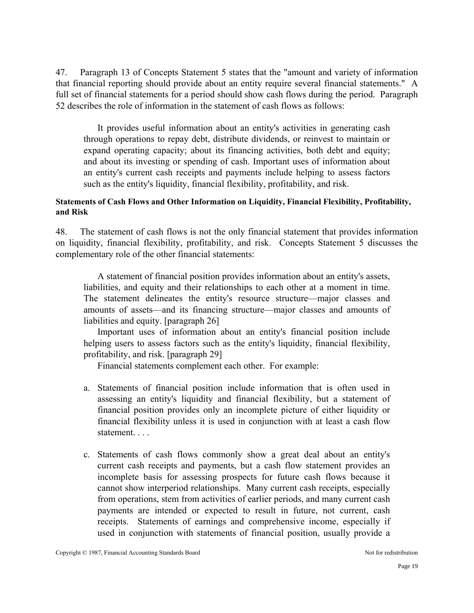47. Paragraph 13 of Concepts Statement 5 states that the "amount and variety of information that financial reporting should provide about an entity require several financial statements." A full set of financial statements for a period should show cash flows during the period. Paragraph 52 describes the role of information in the statement of cash flows as follows:

 It provides useful information about an entity's activities in generating cash through operations to repay debt, distribute dividends, or reinvest to maintain or expand operating capacity; about its financing activities, both debt and equity; and about its investing or spending of cash. Important uses of information about an entity's current cash receipts and payments include helping to assess factors such as the entity's liquidity, financial flexibility, profitability, and risk.

#### **Statements of Cash Flows and Other Information on Liquidity, Financial Flexibility, Profitability, and Risk**

48. The statement of cash flows is not the only financial statement that provides information on liquidity, financial flexibility, profitability, and risk. Concepts Statement 5 discusses the complementary role of the other financial statements:

 A statement of financial position provides information about an entity's assets, liabilities, and equity and their relationships to each other at a moment in time. The statement delineates the entity's resource structure—major classes and amounts of assets—and its financing structure—major classes and amounts of liabilities and equity. [paragraph 26]

 Important uses of information about an entity's financial position include helping users to assess factors such as the entity's liquidity, financial flexibility, profitability, and risk. [paragraph 29]

Financial statements complement each other. For example:

- a. Statements of financial position include information that is often used in assessing an entity's liquidity and financial flexibility, but a statement of financial position provides only an incomplete picture of either liquidity or financial flexibility unless it is used in conjunction with at least a cash flow statement. . . .
- c. Statements of cash flows commonly show a great deal about an entity's current cash receipts and payments, but a cash flow statement provides an incomplete basis for assessing prospects for future cash flows because it cannot show interperiod relationships. Many current cash receipts, especially from operations, stem from activities of earlier periods, and many current cash payments are intended or expected to result in future, not current, cash receipts. Statements of earnings and comprehensive income, especially if used in conjunction with statements of financial position, usually provide a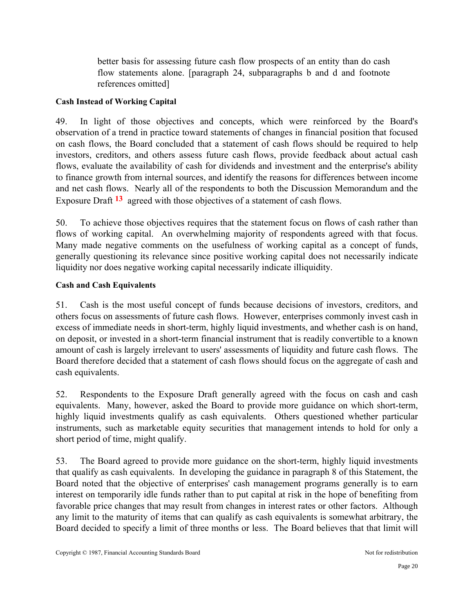better basis for assessing future cash flow prospects of an entity than do cash flow statements alone. [paragraph 24, subparagraphs b and d and footnote references omitted]

## **Cash Instead of Working Capital**

49. In light of those objectives and concepts, which were reinforced by the Board's observation of a trend in practice toward statements of changes in financial position that focused on cash flows, the Board concluded that a statement of cash flows should be required to help investors, creditors, and others assess future cash flows, provide feedback about actual cash flows, evaluate the availability of cash for dividends and investment and the enterprise's ability to finance growth from internal sources, and identify the reasons for differences between income and net cash flows. Nearly all of the respondents to both the Discussion Memorandum and the Exposure Draft **[13](#page-63-0)** agreed with those objectives of a statement of cash flows.

50. To achieve those objectives requires that the statement focus on flows of cash rather than flows of working capital. An overwhelming majority of respondents agreed with that focus. Many made negative comments on the usefulness of working capital as a concept of funds, generally questioning its relevance since positive working capital does not necessarily indicate liquidity nor does negative working capital necessarily indicate illiquidity.

## **Cash and Cash Equivalents**

51. Cash is the most useful concept of funds because decisions of investors, creditors, and others focus on assessments of future cash flows. However, enterprises commonly invest cash in excess of immediate needs in short-term, highly liquid investments, and whether cash is on hand, on deposit, or invested in a short-term financial instrument that is readily convertible to a known amount of cash is largely irrelevant to users' assessments of liquidity and future cash flows. The Board therefore decided that a statement of cash flows should focus on the aggregate of cash and cash equivalents.

52. Respondents to the Exposure Draft generally agreed with the focus on cash and cash equivalents. Many, however, asked the Board to provide more guidance on which short-term, highly liquid investments qualify as cash equivalents. Others questioned whether particular instruments, such as marketable equity securities that management intends to hold for only a short period of time, might qualify.

53. The Board agreed to provide more guidance on the short-term, highly liquid investments that qualify as cash equivalents. In developing the guidance in paragraph 8 of this Statement, the Board noted that the objective of enterprises' cash management programs generally is to earn interest on temporarily idle funds rather than to put capital at risk in the hope of benefiting from favorable price changes that may result from changes in interest rates or other factors. Although any limit to the maturity of items that can qualify as cash equivalents is somewhat arbitrary, the Board decided to specify a limit of three months or less. The Board believes that that limit will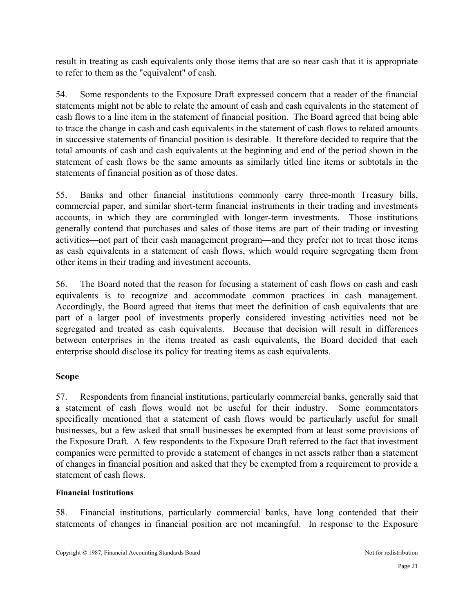result in treating as cash equivalents only those items that are so near cash that it is appropriate to refer to them as the "equivalent" of cash.

54. Some respondents to the Exposure Draft expressed concern that a reader of the financial statements might not be able to relate the amount of cash and cash equivalents in the statement of cash flows to a line item in the statement of financial position. The Board agreed that being able to trace the change in cash and cash equivalents in the statement of cash flows to related amounts in successive statements of financial position is desirable. It therefore decided to require that the total amounts of cash and cash equivalents at the beginning and end of the period shown in the statement of cash flows be the same amounts as similarly titled line items or subtotals in the statements of financial position as of those dates.

55. Banks and other financial institutions commonly carry three-month Treasury bills, commercial paper, and similar short-term financial instruments in their trading and investments accounts, in which they are commingled with longer-term investments. Those institutions generally contend that purchases and sales of those items are part of their trading or investing activities—not part of their cash management program—and they prefer not to treat those items as cash equivalents in a statement of cash flows, which would require segregating them from other items in their trading and investment accounts.

56. The Board noted that the reason for focusing a statement of cash flows on cash and cash equivalents is to recognize and accommodate common practices in cash management. Accordingly, the Board agreed that items that meet the definition of cash equivalents that are part of a larger pool of investments properly considered investing activities need not be segregated and treated as cash equivalents. Because that decision will result in differences between enterprises in the items treated as cash equivalents, the Board decided that each enterprise should disclose its policy for treating items as cash equivalents.

# **Scope**

57. Respondents from financial institutions, particularly commercial banks, generally said that a statement of cash flows would not be useful for their industry. Some commentators specifically mentioned that a statement of cash flows would be particularly useful for small businesses, but a few asked that small businesses be exempted from at least some provisions of the Exposure Draft. A few respondents to the Exposure Draft referred to the fact that investment companies were permitted to provide a statement of changes in net assets rather than a statement of changes in financial position and asked that they be exempted from a requirement to provide a statement of cash flows.

## **Financial Institutions**

58. Financial institutions, particularly commercial banks, have long contended that their statements of changes in financial position are not meaningful. In response to the Exposure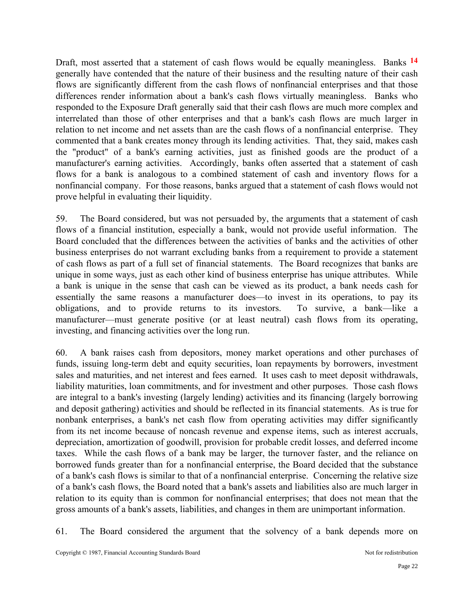Draft, most asserted that a statement of cash flows would be equally meaningless. Banks **[14](#page-63-0)** generally have contended that the nature of their business and the resulting nature of their cash flows are significantly different from the cash flows of nonfinancial enterprises and that those differences render information about a bank's cash flows virtually meaningless. Banks who responded to the Exposure Draft generally said that their cash flows are much more complex and interrelated than those of other enterprises and that a bank's cash flows are much larger in relation to net income and net assets than are the cash flows of a nonfinancial enterprise. They commented that a bank creates money through its lending activities. That, they said, makes cash the "product" of a bank's earning activities, just as finished goods are the product of a manufacturer's earning activities. Accordingly, banks often asserted that a statement of cash flows for a bank is analogous to a combined statement of cash and inventory flows for a nonfinancial company. For those reasons, banks argued that a statement of cash flows would not prove helpful in evaluating their liquidity.

59. The Board considered, but was not persuaded by, the arguments that a statement of cash flows of a financial institution, especially a bank, would not provide useful information. The Board concluded that the differences between the activities of banks and the activities of other business enterprises do not warrant excluding banks from a requirement to provide a statement of cash flows as part of a full set of financial statements. The Board recognizes that banks are unique in some ways, just as each other kind of business enterprise has unique attributes. While a bank is unique in the sense that cash can be viewed as its product, a bank needs cash for essentially the same reasons a manufacturer does—to invest in its operations, to pay its obligations, and to provide returns to its investors. To survive, a bank—like a manufacturer—must generate positive (or at least neutral) cash flows from its operating, investing, and financing activities over the long run.

60. A bank raises cash from depositors, money market operations and other purchases of funds, issuing long-term debt and equity securities, loan repayments by borrowers, investment sales and maturities, and net interest and fees earned. It uses cash to meet deposit withdrawals, liability maturities, loan commitments, and for investment and other purposes. Those cash flows are integral to a bank's investing (largely lending) activities and its financing (largely borrowing and deposit gathering) activities and should be reflected in its financial statements. As is true for nonbank enterprises, a bank's net cash flow from operating activities may differ significantly from its net income because of noncash revenue and expense items, such as interest accruals, depreciation, amortization of goodwill, provision for probable credit losses, and deferred income taxes. While the cash flows of a bank may be larger, the turnover faster, and the reliance on borrowed funds greater than for a nonfinancial enterprise, the Board decided that the substance of a bank's cash flows is similar to that of a nonfinancial enterprise. Concerning the relative size of a bank's cash flows, the Board noted that a bank's assets and liabilities also are much larger in relation to its equity than is common for nonfinancial enterprises; that does not mean that the gross amounts of a bank's assets, liabilities, and changes in them are unimportant information.

61. The Board considered the argument that the solvency of a bank depends more on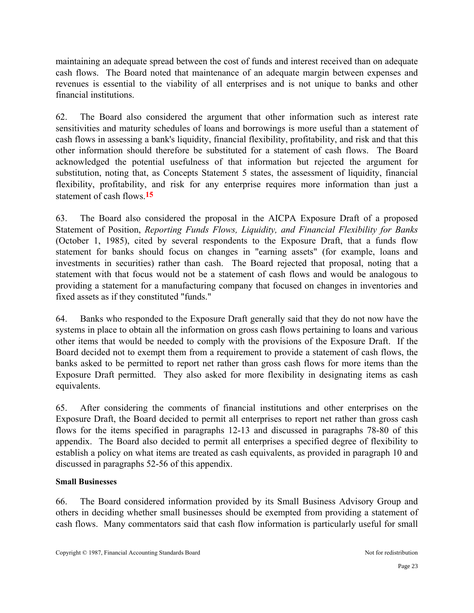maintaining an adequate spread between the cost of funds and interest received than on adequate cash flows. The Board noted that maintenance of an adequate margin between expenses and revenues is essential to the viability of all enterprises and is not unique to banks and other financial institutions.

62. The Board also considered the argument that other information such as interest rate sensitivities and maturity schedules of loans and borrowings is more useful than a statement of cash flows in assessing a bank's liquidity, financial flexibility, profitability, and risk and that this other information should therefore be substituted for a statement of cash flows. The Board acknowledged the potential usefulness of that information but rejected the argument for substitution, noting that, as Concepts Statement 5 states, the assessment of liquidity, financial flexibility, profitability, and risk for any enterprise requires more information than just a statement of cash flows.**[15](#page-63-1)**

63. The Board also considered the proposal in the AICPA Exposure Draft of a proposed Statement of Position, *Reporting Funds Flows, Liquidity, and Financial Flexibility for Banks* (October 1, 1985), cited by several respondents to the Exposure Draft, that a funds flow statement for banks should focus on changes in "earning assets" (for example, loans and investments in securities) rather than cash. The Board rejected that proposal, noting that a statement with that focus would not be a statement of cash flows and would be analogous to providing a statement for a manufacturing company that focused on changes in inventories and fixed assets as if they constituted "funds."

64. Banks who responded to the Exposure Draft generally said that they do not now have the systems in place to obtain all the information on gross cash flows pertaining to loans and various other items that would be needed to comply with the provisions of the Exposure Draft. If the Board decided not to exempt them from a requirement to provide a statement of cash flows, the banks asked to be permitted to report net rather than gross cash flows for more items than the Exposure Draft permitted. They also asked for more flexibility in designating items as cash equivalents.

65. After considering the comments of financial institutions and other enterprises on the Exposure Draft, the Board decided to permit all enterprises to report net rather than gross cash flows for the items specified in paragraphs 12-13 and discussed in paragraphs 78-80 of this appendix. The Board also decided to permit all enterprises a specified degree of flexibility to establish a policy on what items are treated as cash equivalents, as provided in paragraph 10 and discussed in paragraphs 52-56 of this appendix.

# **Small Businesses**

66. The Board considered information provided by its Small Business Advisory Group and others in deciding whether small businesses should be exempted from providing a statement of cash flows. Many commentators said that cash flow information is particularly useful for small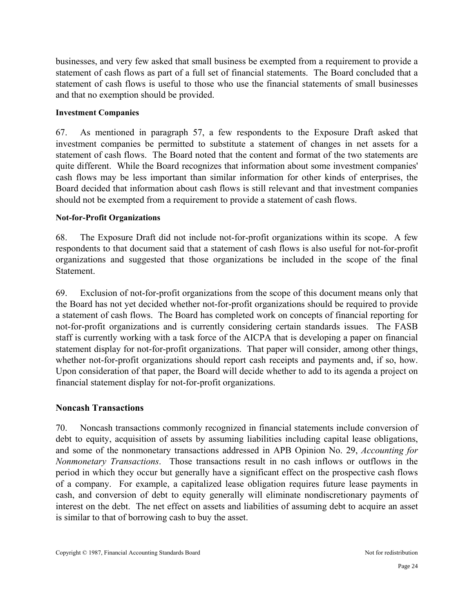businesses, and very few asked that small business be exempted from a requirement to provide a statement of cash flows as part of a full set of financial statements. The Board concluded that a statement of cash flows is useful to those who use the financial statements of small businesses and that no exemption should be provided.

## **Investment Companies**

67. As mentioned in paragraph 57, a few respondents to the Exposure Draft asked that investment companies be permitted to substitute a statement of changes in net assets for a statement of cash flows. The Board noted that the content and format of the two statements are quite different. While the Board recognizes that information about some investment companies' cash flows may be less important than similar information for other kinds of enterprises, the Board decided that information about cash flows is still relevant and that investment companies should not be exempted from a requirement to provide a statement of cash flows.

## **Not-for-Profit Organizations**

68. The Exposure Draft did not include not-for-profit organizations within its scope. A few respondents to that document said that a statement of cash flows is also useful for not-for-profit organizations and suggested that those organizations be included in the scope of the final **Statement** 

69. Exclusion of not-for-profit organizations from the scope of this document means only that the Board has not yet decided whether not-for-profit organizations should be required to provide a statement of cash flows. The Board has completed work on concepts of financial reporting for not-for-profit organizations and is currently considering certain standards issues. The FASB staff is currently working with a task force of the AICPA that is developing a paper on financial statement display for not-for-profit organizations. That paper will consider, among other things, whether not-for-profit organizations should report cash receipts and payments and, if so, how. Upon consideration of that paper, the Board will decide whether to add to its agenda a project on financial statement display for not-for-profit organizations.

# **Noncash Transactions**

70. Noncash transactions commonly recognized in financial statements include conversion of debt to equity, acquisition of assets by assuming liabilities including capital lease obligations, and some of the nonmonetary transactions addressed in APB Opinion No. 29, *Accounting for Nonmonetary Transactions*. Those transactions result in no cash inflows or outflows in the period in which they occur but generally have a significant effect on the prospective cash flows of a company. For example, a capitalized lease obligation requires future lease payments in cash, and conversion of debt to equity generally will eliminate nondiscretionary payments of interest on the debt. The net effect on assets and liabilities of assuming debt to acquire an asset is similar to that of borrowing cash to buy the asset.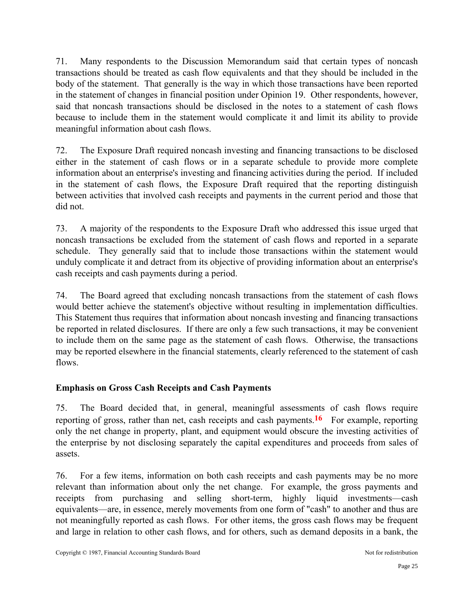71. Many respondents to the Discussion Memorandum said that certain types of noncash transactions should be treated as cash flow equivalents and that they should be included in the body of the statement. That generally is the way in which those transactions have been reported in the statement of changes in financial position under Opinion 19. Other respondents, however, said that noncash transactions should be disclosed in the notes to a statement of cash flows because to include them in the statement would complicate it and limit its ability to provide meaningful information about cash flows.

72. The Exposure Draft required noncash investing and financing transactions to be disclosed either in the statement of cash flows or in a separate schedule to provide more complete information about an enterprise's investing and financing activities during the period. If included in the statement of cash flows, the Exposure Draft required that the reporting distinguish between activities that involved cash receipts and payments in the current period and those that did not.

73. A majority of the respondents to the Exposure Draft who addressed this issue urged that noncash transactions be excluded from the statement of cash flows and reported in a separate schedule. They generally said that to include those transactions within the statement would unduly complicate it and detract from its objective of providing information about an enterprise's cash receipts and cash payments during a period.

74. The Board agreed that excluding noncash transactions from the statement of cash flows would better achieve the statement's objective without resulting in implementation difficulties. This Statement thus requires that information about noncash investing and financing transactions be reported in related disclosures. If there are only a few such transactions, it may be convenient to include them on the same page as the statement of cash flows. Otherwise, the transactions may be reported elsewhere in the financial statements, clearly referenced to the statement of cash flows.

# **Emphasis on Gross Cash Receipts and Cash Payments**

75. The Board decided that, in general, meaningful assessments of cash flows require reporting of gross, rather than net, cash receipts and cash payments.**[16](#page-64-0)** For example, reporting only the net change in property, plant, and equipment would obscure the investing activities of the enterprise by not disclosing separately the capital expenditures and proceeds from sales of assets.

76. For a few items, information on both cash receipts and cash payments may be no more relevant than information about only the net change. For example, the gross payments and receipts from purchasing and selling short-term, highly liquid investments—cash equivalents—are, in essence, merely movements from one form of "cash" to another and thus are not meaningfully reported as cash flows. For other items, the gross cash flows may be frequent and large in relation to other cash flows, and for others, such as demand deposits in a bank, the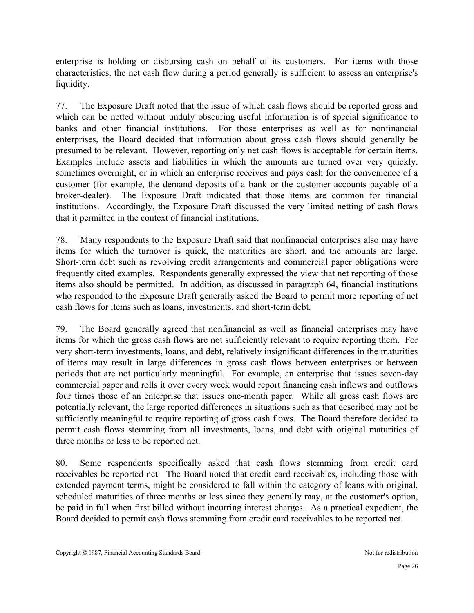enterprise is holding or disbursing cash on behalf of its customers. For items with those characteristics, the net cash flow during a period generally is sufficient to assess an enterprise's liquidity.

77. The Exposure Draft noted that the issue of which cash flows should be reported gross and which can be netted without unduly obscuring useful information is of special significance to banks and other financial institutions. For those enterprises as well as for nonfinancial enterprises, the Board decided that information about gross cash flows should generally be presumed to be relevant. However, reporting only net cash flows is acceptable for certain items. Examples include assets and liabilities in which the amounts are turned over very quickly, sometimes overnight, or in which an enterprise receives and pays cash for the convenience of a customer (for example, the demand deposits of a bank or the customer accounts payable of a broker-dealer). The Exposure Draft indicated that those items are common for financial institutions. Accordingly, the Exposure Draft discussed the very limited netting of cash flows that it permitted in the context of financial institutions.

78. Many respondents to the Exposure Draft said that nonfinancial enterprises also may have items for which the turnover is quick, the maturities are short, and the amounts are large. Short-term debt such as revolving credit arrangements and commercial paper obligations were frequently cited examples. Respondents generally expressed the view that net reporting of those items also should be permitted. In addition, as discussed in paragraph 64, financial institutions who responded to the Exposure Draft generally asked the Board to permit more reporting of net cash flows for items such as loans, investments, and short-term debt.

79. The Board generally agreed that nonfinancial as well as financial enterprises may have items for which the gross cash flows are not sufficiently relevant to require reporting them. For very short-term investments, loans, and debt, relatively insignificant differences in the maturities of items may result in large differences in gross cash flows between enterprises or between periods that are not particularly meaningful. For example, an enterprise that issues seven-day commercial paper and rolls it over every week would report financing cash inflows and outflows four times those of an enterprise that issues one-month paper. While all gross cash flows are potentially relevant, the large reported differences in situations such as that described may not be sufficiently meaningful to require reporting of gross cash flows. The Board therefore decided to permit cash flows stemming from all investments, loans, and debt with original maturities of three months or less to be reported net.

80. Some respondents specifically asked that cash flows stemming from credit card receivables be reported net. The Board noted that credit card receivables, including those with extended payment terms, might be considered to fall within the category of loans with original, scheduled maturities of three months or less since they generally may, at the customer's option, be paid in full when first billed without incurring interest charges. As a practical expedient, the Board decided to permit cash flows stemming from credit card receivables to be reported net.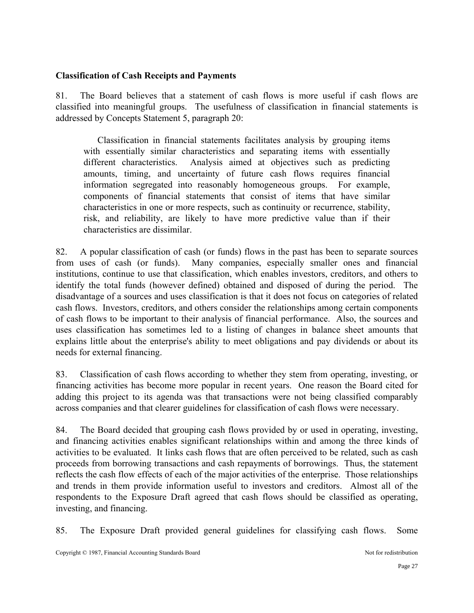## **Classification of Cash Receipts and Payments**

81. The Board believes that a statement of cash flows is more useful if cash flows are classified into meaningful groups. The usefulness of classification in financial statements is addressed by Concepts Statement 5, paragraph 20:

 Classification in financial statements facilitates analysis by grouping items with essentially similar characteristics and separating items with essentially different characteristics. Analysis aimed at objectives such as predicting amounts, timing, and uncertainty of future cash flows requires financial information segregated into reasonably homogeneous groups. For example, components of financial statements that consist of items that have similar characteristics in one or more respects, such as continuity or recurrence, stability, risk, and reliability, are likely to have more predictive value than if their characteristics are dissimilar.

82. A popular classification of cash (or funds) flows in the past has been to separate sources from uses of cash (or funds). Many companies, especially smaller ones and financial institutions, continue to use that classification, which enables investors, creditors, and others to identify the total funds (however defined) obtained and disposed of during the period. The disadvantage of a sources and uses classification is that it does not focus on categories of related cash flows. Investors, creditors, and others consider the relationships among certain components of cash flows to be important to their analysis of financial performance. Also, the sources and uses classification has sometimes led to a listing of changes in balance sheet amounts that explains little about the enterprise's ability to meet obligations and pay dividends or about its needs for external financing.

83. Classification of cash flows according to whether they stem from operating, investing, or financing activities has become more popular in recent years. One reason the Board cited for adding this project to its agenda was that transactions were not being classified comparably across companies and that clearer guidelines for classification of cash flows were necessary.

84. The Board decided that grouping cash flows provided by or used in operating, investing, and financing activities enables significant relationships within and among the three kinds of activities to be evaluated. It links cash flows that are often perceived to be related, such as cash proceeds from borrowing transactions and cash repayments of borrowings. Thus, the statement reflects the cash flow effects of each of the major activities of the enterprise. Those relationships and trends in them provide information useful to investors and creditors. Almost all of the respondents to the Exposure Draft agreed that cash flows should be classified as operating, investing, and financing.

85. The Exposure Draft provided general guidelines for classifying cash flows. Some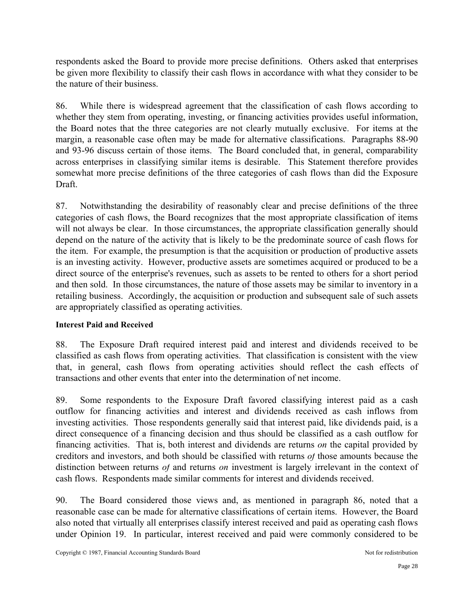respondents asked the Board to provide more precise definitions. Others asked that enterprises be given more flexibility to classify their cash flows in accordance with what they consider to be the nature of their business.

86. While there is widespread agreement that the classification of cash flows according to whether they stem from operating, investing, or financing activities provides useful information, the Board notes that the three categories are not clearly mutually exclusive. For items at the margin, a reasonable case often may be made for alternative classifications. Paragraphs 88-90 and 93-96 discuss certain of those items. The Board concluded that, in general, comparability across enterprises in classifying similar items is desirable. This Statement therefore provides somewhat more precise definitions of the three categories of cash flows than did the Exposure Draft.

87. Notwithstanding the desirability of reasonably clear and precise definitions of the three categories of cash flows, the Board recognizes that the most appropriate classification of items will not always be clear. In those circumstances, the appropriate classification generally should depend on the nature of the activity that is likely to be the predominate source of cash flows for the item. For example, the presumption is that the acquisition or production of productive assets is an investing activity. However, productive assets are sometimes acquired or produced to be a direct source of the enterprise's revenues, such as assets to be rented to others for a short period and then sold. In those circumstances, the nature of those assets may be similar to inventory in a retailing business. Accordingly, the acquisition or production and subsequent sale of such assets are appropriately classified as operating activities.

## **Interest Paid and Received**

88. The Exposure Draft required interest paid and interest and dividends received to be classified as cash flows from operating activities. That classification is consistent with the view that, in general, cash flows from operating activities should reflect the cash effects of transactions and other events that enter into the determination of net income.

89. Some respondents to the Exposure Draft favored classifying interest paid as a cash outflow for financing activities and interest and dividends received as cash inflows from investing activities. Those respondents generally said that interest paid, like dividends paid, is a direct consequence of a financing decision and thus should be classified as a cash outflow for financing activities. That is, both interest and dividends are returns *on* the capital provided by creditors and investors, and both should be classified with returns *of* those amounts because the distinction between returns *of* and returns *on* investment is largely irrelevant in the context of cash flows. Respondents made similar comments for interest and dividends received.

90. The Board considered those views and, as mentioned in paragraph 86, noted that a reasonable case can be made for alternative classifications of certain items. However, the Board also noted that virtually all enterprises classify interest received and paid as operating cash flows under Opinion 19. In particular, interest received and paid were commonly considered to be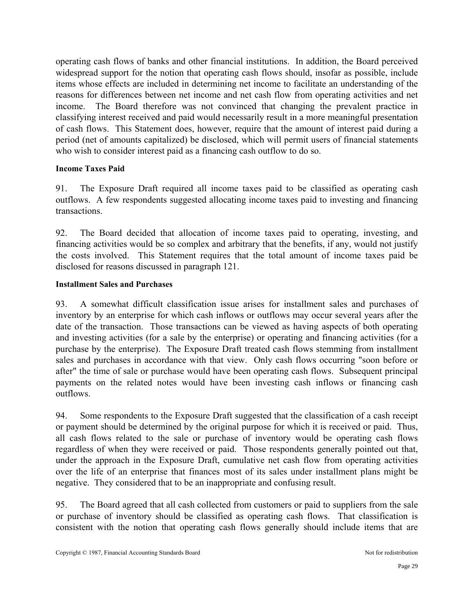operating cash flows of banks and other financial institutions. In addition, the Board perceived widespread support for the notion that operating cash flows should, insofar as possible, include items whose effects are included in determining net income to facilitate an understanding of the reasons for differences between net income and net cash flow from operating activities and net income. The Board therefore was not convinced that changing the prevalent practice in classifying interest received and paid would necessarily result in a more meaningful presentation of cash flows. This Statement does, however, require that the amount of interest paid during a period (net of amounts capitalized) be disclosed, which will permit users of financial statements who wish to consider interest paid as a financing cash outflow to do so.

## **Income Taxes Paid**

91. The Exposure Draft required all income taxes paid to be classified as operating cash outflows. A few respondents suggested allocating income taxes paid to investing and financing transactions.

92. The Board decided that allocation of income taxes paid to operating, investing, and financing activities would be so complex and arbitrary that the benefits, if any, would not justify the costs involved. This Statement requires that the total amount of income taxes paid be disclosed for reasons discussed in paragraph 121.

## **Installment Sales and Purchases**

93. A somewhat difficult classification issue arises for installment sales and purchases of inventory by an enterprise for which cash inflows or outflows may occur several years after the date of the transaction. Those transactions can be viewed as having aspects of both operating and investing activities (for a sale by the enterprise) or operating and financing activities (for a purchase by the enterprise). The Exposure Draft treated cash flows stemming from installment sales and purchases in accordance with that view. Only cash flows occurring "soon before or after" the time of sale or purchase would have been operating cash flows. Subsequent principal payments on the related notes would have been investing cash inflows or financing cash outflows.

94. Some respondents to the Exposure Draft suggested that the classification of a cash receipt or payment should be determined by the original purpose for which it is received or paid. Thus, all cash flows related to the sale or purchase of inventory would be operating cash flows regardless of when they were received or paid. Those respondents generally pointed out that, under the approach in the Exposure Draft, cumulative net cash flow from operating activities over the life of an enterprise that finances most of its sales under installment plans might be negative. They considered that to be an inappropriate and confusing result.

95. The Board agreed that all cash collected from customers or paid to suppliers from the sale or purchase of inventory should be classified as operating cash flows. That classification is consistent with the notion that operating cash flows generally should include items that are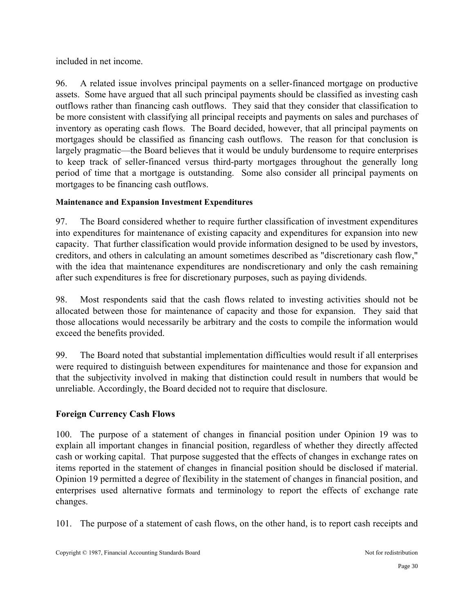included in net income.

96. A related issue involves principal payments on a seller-financed mortgage on productive assets. Some have argued that all such principal payments should be classified as investing cash outflows rather than financing cash outflows. They said that they consider that classification to be more consistent with classifying all principal receipts and payments on sales and purchases of inventory as operating cash flows. The Board decided, however, that all principal payments on mortgages should be classified as financing cash outflows. The reason for that conclusion is largely pragmatic—the Board believes that it would be unduly burdensome to require enterprises to keep track of seller-financed versus third-party mortgages throughout the generally long period of time that a mortgage is outstanding. Some also consider all principal payments on mortgages to be financing cash outflows.

# **Maintenance and Expansion Investment Expenditures**

97. The Board considered whether to require further classification of investment expenditures into expenditures for maintenance of existing capacity and expenditures for expansion into new capacity. That further classification would provide information designed to be used by investors, creditors, and others in calculating an amount sometimes described as "discretionary cash flow," with the idea that maintenance expenditures are nondiscretionary and only the cash remaining after such expenditures is free for discretionary purposes, such as paying dividends.

98. Most respondents said that the cash flows related to investing activities should not be allocated between those for maintenance of capacity and those for expansion. They said that those allocations would necessarily be arbitrary and the costs to compile the information would exceed the benefits provided.

99. The Board noted that substantial implementation difficulties would result if all enterprises were required to distinguish between expenditures for maintenance and those for expansion and that the subjectivity involved in making that distinction could result in numbers that would be unreliable. Accordingly, the Board decided not to require that disclosure.

# **Foreign Currency Cash Flows**

100. The purpose of a statement of changes in financial position under Opinion 19 was to explain all important changes in financial position, regardless of whether they directly affected cash or working capital. That purpose suggested that the effects of changes in exchange rates on items reported in the statement of changes in financial position should be disclosed if material. Opinion 19 permitted a degree of flexibility in the statement of changes in financial position, and enterprises used alternative formats and terminology to report the effects of exchange rate changes.

101. The purpose of a statement of cash flows, on the other hand, is to report cash receipts and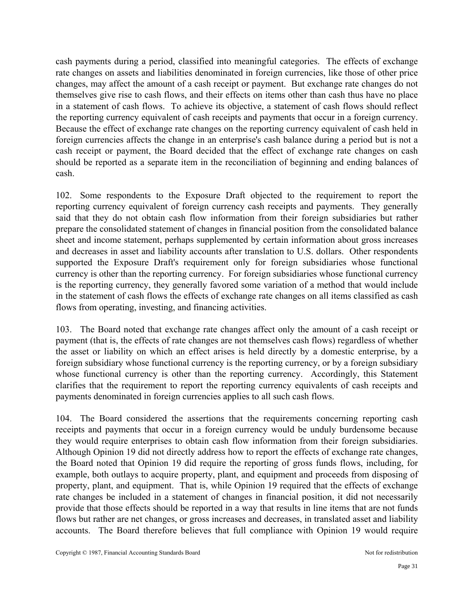cash payments during a period, classified into meaningful categories. The effects of exchange rate changes on assets and liabilities denominated in foreign currencies, like those of other price changes, may affect the amount of a cash receipt or payment. But exchange rate changes do not themselves give rise to cash flows, and their effects on items other than cash thus have no place in a statement of cash flows. To achieve its objective, a statement of cash flows should reflect the reporting currency equivalent of cash receipts and payments that occur in a foreign currency. Because the effect of exchange rate changes on the reporting currency equivalent of cash held in foreign currencies affects the change in an enterprise's cash balance during a period but is not a cash receipt or payment, the Board decided that the effect of exchange rate changes on cash should be reported as a separate item in the reconciliation of beginning and ending balances of cash.

102. Some respondents to the Exposure Draft objected to the requirement to report the reporting currency equivalent of foreign currency cash receipts and payments. They generally said that they do not obtain cash flow information from their foreign subsidiaries but rather prepare the consolidated statement of changes in financial position from the consolidated balance sheet and income statement, perhaps supplemented by certain information about gross increases and decreases in asset and liability accounts after translation to U.S. dollars. Other respondents supported the Exposure Draft's requirement only for foreign subsidiaries whose functional currency is other than the reporting currency. For foreign subsidiaries whose functional currency is the reporting currency, they generally favored some variation of a method that would include in the statement of cash flows the effects of exchange rate changes on all items classified as cash flows from operating, investing, and financing activities.

103. The Board noted that exchange rate changes affect only the amount of a cash receipt or payment (that is, the effects of rate changes are not themselves cash flows) regardless of whether the asset or liability on which an effect arises is held directly by a domestic enterprise, by a foreign subsidiary whose functional currency is the reporting currency, or by a foreign subsidiary whose functional currency is other than the reporting currency. Accordingly, this Statement clarifies that the requirement to report the reporting currency equivalents of cash receipts and payments denominated in foreign currencies applies to all such cash flows.

104. The Board considered the assertions that the requirements concerning reporting cash receipts and payments that occur in a foreign currency would be unduly burdensome because they would require enterprises to obtain cash flow information from their foreign subsidiaries. Although Opinion 19 did not directly address how to report the effects of exchange rate changes, the Board noted that Opinion 19 did require the reporting of gross funds flows, including, for example, both outlays to acquire property, plant, and equipment and proceeds from disposing of property, plant, and equipment. That is, while Opinion 19 required that the effects of exchange rate changes be included in a statement of changes in financial position, it did not necessarily provide that those effects should be reported in a way that results in line items that are not funds flows but rather are net changes, or gross increases and decreases, in translated asset and liability accounts. The Board therefore believes that full compliance with Opinion 19 would require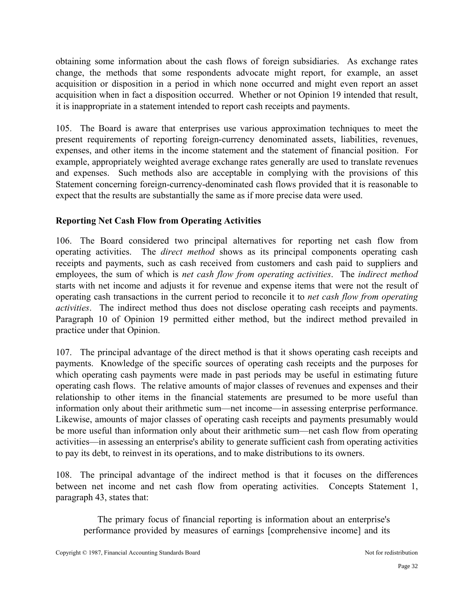obtaining some information about the cash flows of foreign subsidiaries. As exchange rates change, the methods that some respondents advocate might report, for example, an asset acquisition or disposition in a period in which none occurred and might even report an asset acquisition when in fact a disposition occurred. Whether or not Opinion 19 intended that result, it is inappropriate in a statement intended to report cash receipts and payments.

105. The Board is aware that enterprises use various approximation techniques to meet the present requirements of reporting foreign-currency denominated assets, liabilities, revenues, expenses, and other items in the income statement and the statement of financial position. For example, appropriately weighted average exchange rates generally are used to translate revenues and expenses. Such methods also are acceptable in complying with the provisions of this Statement concerning foreign-currency-denominated cash flows provided that it is reasonable to expect that the results are substantially the same as if more precise data were used.

# **Reporting Net Cash Flow from Operating Activities**

106. The Board considered two principal alternatives for reporting net cash flow from operating activities. The *direct method* shows as its principal components operating cash receipts and payments, such as cash received from customers and cash paid to suppliers and employees, the sum of which is *net cash flow from operating activities*. The *indirect method* starts with net income and adjusts it for revenue and expense items that were not the result of operating cash transactions in the current period to reconcile it to *net cash flow from operating activities*. The indirect method thus does not disclose operating cash receipts and payments. Paragraph 10 of Opinion 19 permitted either method, but the indirect method prevailed in practice under that Opinion.

107. The principal advantage of the direct method is that it shows operating cash receipts and payments. Knowledge of the specific sources of operating cash receipts and the purposes for which operating cash payments were made in past periods may be useful in estimating future operating cash flows. The relative amounts of major classes of revenues and expenses and their relationship to other items in the financial statements are presumed to be more useful than information only about their arithmetic sum—net income—in assessing enterprise performance. Likewise, amounts of major classes of operating cash receipts and payments presumably would be more useful than information only about their arithmetic sum—net cash flow from operating activities—in assessing an enterprise's ability to generate sufficient cash from operating activities to pay its debt, to reinvest in its operations, and to make distributions to its owners.

108. The principal advantage of the indirect method is that it focuses on the differences between net income and net cash flow from operating activities. Concepts Statement 1, paragraph 43, states that:

 The primary focus of financial reporting is information about an enterprise's performance provided by measures of earnings [comprehensive income] and its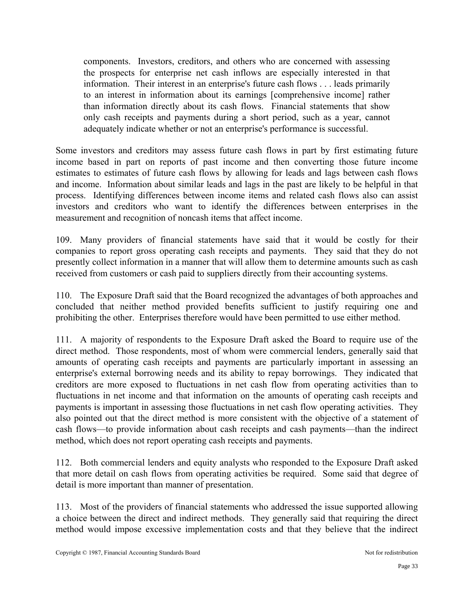components. Investors, creditors, and others who are concerned with assessing the prospects for enterprise net cash inflows are especially interested in that information. Their interest in an enterprise's future cash flows . . . leads primarily to an interest in information about its earnings [comprehensive income] rather than information directly about its cash flows. Financial statements that show only cash receipts and payments during a short period, such as a year, cannot adequately indicate whether or not an enterprise's performance is successful.

Some investors and creditors may assess future cash flows in part by first estimating future income based in part on reports of past income and then converting those future income estimates to estimates of future cash flows by allowing for leads and lags between cash flows and income. Information about similar leads and lags in the past are likely to be helpful in that process. Identifying differences between income items and related cash flows also can assist investors and creditors who want to identify the differences between enterprises in the measurement and recognition of noncash items that affect income.

109. Many providers of financial statements have said that it would be costly for their companies to report gross operating cash receipts and payments. They said that they do not presently collect information in a manner that will allow them to determine amounts such as cash received from customers or cash paid to suppliers directly from their accounting systems.

110. The Exposure Draft said that the Board recognized the advantages of both approaches and concluded that neither method provided benefits sufficient to justify requiring one and prohibiting the other. Enterprises therefore would have been permitted to use either method.

111. A majority of respondents to the Exposure Draft asked the Board to require use of the direct method. Those respondents, most of whom were commercial lenders, generally said that amounts of operating cash receipts and payments are particularly important in assessing an enterprise's external borrowing needs and its ability to repay borrowings. They indicated that creditors are more exposed to fluctuations in net cash flow from operating activities than to fluctuations in net income and that information on the amounts of operating cash receipts and payments is important in assessing those fluctuations in net cash flow operating activities. They also pointed out that the direct method is more consistent with the objective of a statement of cash flows—to provide information about cash receipts and cash payments—than the indirect method, which does not report operating cash receipts and payments.

112. Both commercial lenders and equity analysts who responded to the Exposure Draft asked that more detail on cash flows from operating activities be required. Some said that degree of detail is more important than manner of presentation.

113. Most of the providers of financial statements who addressed the issue supported allowing a choice between the direct and indirect methods. They generally said that requiring the direct method would impose excessive implementation costs and that they believe that the indirect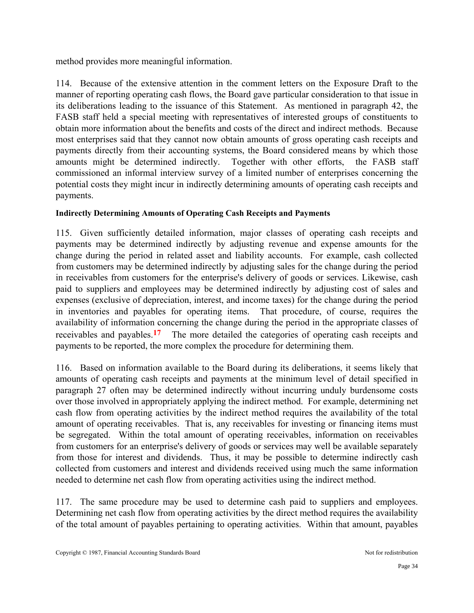method provides more meaningful information.

114. Because of the extensive attention in the comment letters on the Exposure Draft to the manner of reporting operating cash flows, the Board gave particular consideration to that issue in its deliberations leading to the issuance of this Statement. As mentioned in paragraph 42, the FASB staff held a special meeting with representatives of interested groups of constituents to obtain more information about the benefits and costs of the direct and indirect methods. Because most enterprises said that they cannot now obtain amounts of gross operating cash receipts and payments directly from their accounting systems, the Board considered means by which those amounts might be determined indirectly. Together with other efforts, the FASB staff commissioned an informal interview survey of a limited number of enterprises concerning the potential costs they might incur in indirectly determining amounts of operating cash receipts and payments.

# **Indirectly Determining Amounts of Operating Cash Receipts and Payments**

115. Given sufficiently detailed information, major classes of operating cash receipts and payments may be determined indirectly by adjusting revenue and expense amounts for the change during the period in related asset and liability accounts. For example, cash collected from customers may be determined indirectly by adjusting sales for the change during the period in receivables from customers for the enterprise's delivery of goods or services. Likewise, cash paid to suppliers and employees may be determined indirectly by adjusting cost of sales and expenses (exclusive of depreciation, interest, and income taxes) for the change during the period in inventories and payables for operating items. That procedure, of course, requires the availability of information concerning the change during the period in the appropriate classes of receivables and payables.**17**The more detailed the categories of operating cash receipts and payments to be reported, the more complex the procedure for determining them.

116. Based on information available to the Board during its deliberations, it seems likely that amounts of operating cash receipts and payments at the minimum level of detail specified in paragraph 27 often may be determined indirectly without incurring unduly burdensome costs over those involved in appropriately applying the indirect method. For example, determining net cash flow from operating activities by the indirect method requires the availability of the total amount of operating receivables. That is, any receivables for investing or financing items must be segregated. Within the total amount of operating receivables, information on receivables from customers for an enterprise's delivery of goods or services may well be available separately from those for interest and dividends. Thus, it may be possible to determine indirectly cash collected from customers and interest and dividends received using much the same information needed to determine net cash flow from operating activities using the indirect method.

117. The same procedure may be used to determine cash paid to suppliers and employees. Determining net cash flow from operating activities by the direct method requires the availability of the total amount of payables pertaining to operating activities. Within that amount, payables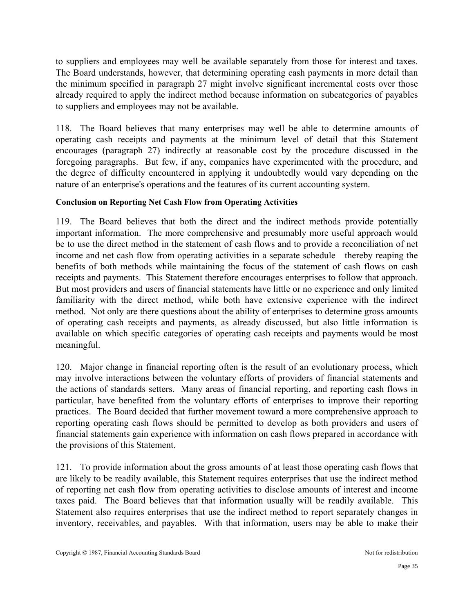to suppliers and employees may well be available separately from those for interest and taxes. The Board understands, however, that determining operating cash payments in more detail than the minimum specified in paragraph 27 might involve significant incremental costs over those already required to apply the indirect method because information on subcategories of payables to suppliers and employees may not be available.

118. The Board believes that many enterprises may well be able to determine amounts of operating cash receipts and payments at the minimum level of detail that this Statement encourages (paragraph 27) indirectly at reasonable cost by the procedure discussed in the foregoing paragraphs. But few, if any, companies have experimented with the procedure, and the degree of difficulty encountered in applying it undoubtedly would vary depending on the nature of an enterprise's operations and the features of its current accounting system.

# **Conclusion on Reporting Net Cash Flow from Operating Activities**

119. The Board believes that both the direct and the indirect methods provide potentially important information. The more comprehensive and presumably more useful approach would be to use the direct method in the statement of cash flows and to provide a reconciliation of net income and net cash flow from operating activities in a separate schedule—thereby reaping the benefits of both methods while maintaining the focus of the statement of cash flows on cash receipts and payments. This Statement therefore encourages enterprises to follow that approach. But most providers and users of financial statements have little or no experience and only limited familiarity with the direct method, while both have extensive experience with the indirect method. Not only are there questions about the ability of enterprises to determine gross amounts of operating cash receipts and payments, as already discussed, but also little information is available on which specific categories of operating cash receipts and payments would be most meaningful.

120. Major change in financial reporting often is the result of an evolutionary process, which may involve interactions between the voluntary efforts of providers of financial statements and the actions of standards setters. Many areas of financial reporting, and reporting cash flows in particular, have benefited from the voluntary efforts of enterprises to improve their reporting practices. The Board decided that further movement toward a more comprehensive approach to reporting operating cash flows should be permitted to develop as both providers and users of financial statements gain experience with information on cash flows prepared in accordance with the provisions of this Statement.

121. To provide information about the gross amounts of at least those operating cash flows that are likely to be readily available, this Statement requires enterprises that use the indirect method of reporting net cash flow from operating activities to disclose amounts of interest and income taxes paid. The Board believes that that information usually will be readily available. This Statement also requires enterprises that use the indirect method to report separately changes in inventory, receivables, and payables. With that information, users may be able to make their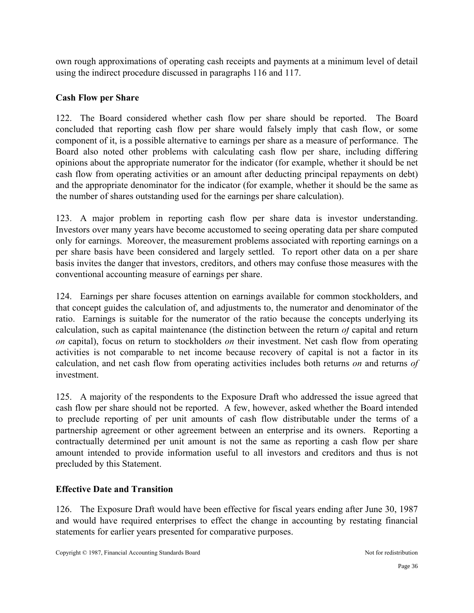own rough approximations of operating cash receipts and payments at a minimum level of detail using the indirect procedure discussed in paragraphs 116 and 117.

# **Cash Flow per Share**

122. The Board considered whether cash flow per share should be reported. The Board concluded that reporting cash flow per share would falsely imply that cash flow, or some component of it, is a possible alternative to earnings per share as a measure of performance. The Board also noted other problems with calculating cash flow per share, including differing opinions about the appropriate numerator for the indicator (for example, whether it should be net cash flow from operating activities or an amount after deducting principal repayments on debt) and the appropriate denominator for the indicator (for example, whether it should be the same as the number of shares outstanding used for the earnings per share calculation).

123. A major problem in reporting cash flow per share data is investor understanding. Investors over many years have become accustomed to seeing operating data per share computed only for earnings. Moreover, the measurement problems associated with reporting earnings on a per share basis have been considered and largely settled. To report other data on a per share basis invites the danger that investors, creditors, and others may confuse those measures with the conventional accounting measure of earnings per share.

124. Earnings per share focuses attention on earnings available for common stockholders, and that concept guides the calculation of, and adjustments to, the numerator and denominator of the ratio. Earnings is suitable for the numerator of the ratio because the concepts underlying its calculation, such as capital maintenance (the distinction between the return *of* capital and return *on* capital), focus on return to stockholders *on* their investment. Net cash flow from operating activities is not comparable to net income because recovery of capital is not a factor in its calculation, and net cash flow from operating activities includes both returns *on* and returns *of* investment.

125. A majority of the respondents to the Exposure Draft who addressed the issue agreed that cash flow per share should not be reported. A few, however, asked whether the Board intended to preclude reporting of per unit amounts of cash flow distributable under the terms of a partnership agreement or other agreement between an enterprise and its owners. Reporting a contractually determined per unit amount is not the same as reporting a cash flow per share amount intended to provide information useful to all investors and creditors and thus is not precluded by this Statement.

# **Effective Date and Transition**

126. The Exposure Draft would have been effective for fiscal years ending after June 30, 1987 and would have required enterprises to effect the change in accounting by restating financial statements for earlier years presented for comparative purposes.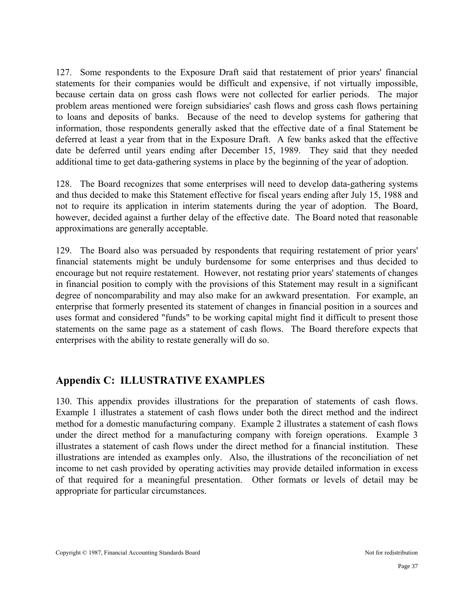127. Some respondents to the Exposure Draft said that restatement of prior years' financial statements for their companies would be difficult and expensive, if not virtually impossible, because certain data on gross cash flows were not collected for earlier periods. The major problem areas mentioned were foreign subsidiaries' cash flows and gross cash flows pertaining to loans and deposits of banks. Because of the need to develop systems for gathering that information, those respondents generally asked that the effective date of a final Statement be deferred at least a year from that in the Exposure Draft. A few banks asked that the effective date be deferred until years ending after December 15, 1989. They said that they needed additional time to get data-gathering systems in place by the beginning of the year of adoption.

128. The Board recognizes that some enterprises will need to develop data-gathering systems and thus decided to make this Statement effective for fiscal years ending after July 15, 1988 and not to require its application in interim statements during the year of adoption. The Board, however, decided against a further delay of the effective date. The Board noted that reasonable approximations are generally acceptable.

129. The Board also was persuaded by respondents that requiring restatement of prior years' financial statements might be unduly burdensome for some enterprises and thus decided to encourage but not require restatement. However, not restating prior years' statements of changes in financial position to comply with the provisions of this Statement may result in a significant degree of noncomparability and may also make for an awkward presentation. For example, an enterprise that formerly presented its statement of changes in financial position in a sources and uses format and considered "funds" to be working capital might find it difficult to present those statements on the same page as a statement of cash flows. The Board therefore expects that enterprises with the ability to restate generally will do so.

# **Appendix C: ILLUSTRATIVE EXAMPLES**

130. This appendix provides illustrations for the preparation of statements of cash flows. Example 1 illustrates a statement of cash flows under both the direct method and the indirect method for a domestic manufacturing company. Example 2 illustrates a statement of cash flows under the direct method for a manufacturing company with foreign operations. Example 3 illustrates a statement of cash flows under the direct method for a financial institution. These illustrations are intended as examples only. Also, the illustrations of the reconciliation of net income to net cash provided by operating activities may provide detailed information in excess of that required for a meaningful presentation. Other formats or levels of detail may be appropriate for particular circumstances.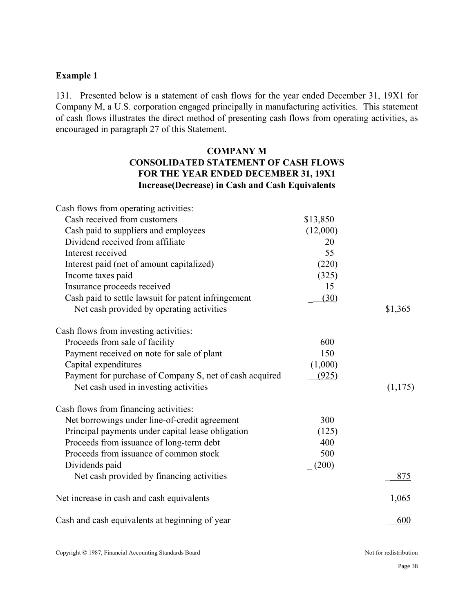## **Example 1**

131. Presented below is a statement of cash flows for the year ended December 31, 19X1 for Company M, a U.S. corporation engaged principally in manufacturing activities. This statement of cash flows illustrates the direct method of presenting cash flows from operating activities, as encouraged in paragraph 27 of this Statement.

# **COMPANY M CONSOLIDATED STATEMENT OF CASH FLOWS FOR THE YEAR ENDED DECEMBER 31, 19X1 Increase(Decrease) in Cash and Cash Equivalents**

| Cash flows from operating activities:                   |          |          |
|---------------------------------------------------------|----------|----------|
| Cash received from customers                            | \$13,850 |          |
| Cash paid to suppliers and employees                    | (12,000) |          |
| Dividend received from affiliate                        | 20       |          |
| Interest received                                       | 55       |          |
| Interest paid (net of amount capitalized)               | (220)    |          |
| Income taxes paid                                       | (325)    |          |
| Insurance proceeds received                             | 15       |          |
| Cash paid to settle lawsuit for patent infringement     | (30)     |          |
| Net cash provided by operating activities               |          | \$1,365  |
| Cash flows from investing activities:                   |          |          |
| Proceeds from sale of facility                          | 600      |          |
| Payment received on note for sale of plant              | 150      |          |
| Capital expenditures                                    | (1,000)  |          |
| Payment for purchase of Company S, net of cash acquired | (925)    |          |
| Net cash used in investing activities                   |          | (1, 175) |
| Cash flows from financing activities:                   |          |          |
| Net borrowings under line-of-credit agreement           | 300      |          |
| Principal payments under capital lease obligation       | (125)    |          |
| Proceeds from issuance of long-term debt                | 400      |          |
| Proceeds from issuance of common stock                  | 500      |          |
| Dividends paid                                          | (200)    |          |
| Net cash provided by financing activities               |          | 875      |
| Net increase in cash and cash equivalents               |          | 1,065    |
| Cash and cash equivalents at beginning of year          |          | 600      |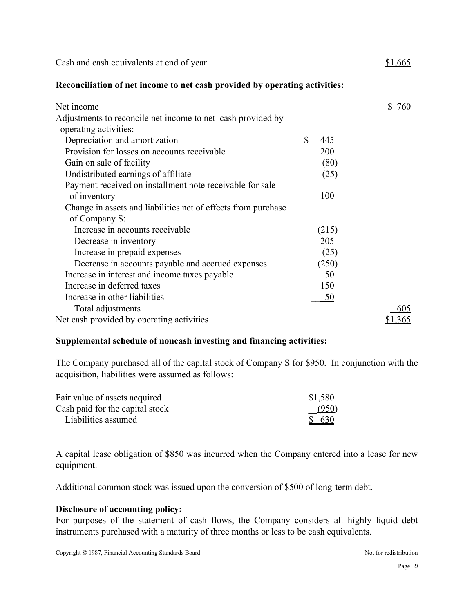Cash and cash equivalents at end of year  $$1,665$ 

### **Reconciliation of net income to net cash provided by operating activities:**

| Net income                                                    |           | S.<br>760   |
|---------------------------------------------------------------|-----------|-------------|
| Adjustments to reconcile net income to net cash provided by   |           |             |
| operating activities:                                         |           |             |
| Depreciation and amortization                                 | \$<br>445 |             |
| Provision for losses on accounts receivable                   | 200       |             |
| Gain on sale of facility                                      | (80)      |             |
| Undistributed earnings of affiliate                           | (25)      |             |
| Payment received on installment note receivable for sale      |           |             |
| of inventory                                                  | 100       |             |
| Change in assets and liabilities net of effects from purchase |           |             |
| of Company S:                                                 |           |             |
| Increase in accounts receivable                               | (215)     |             |
| Decrease in inventory                                         | 205       |             |
| Increase in prepaid expenses                                  | (25)      |             |
| Decrease in accounts payable and accrued expenses             | (250)     |             |
| Increase in interest and income taxes payable                 | 50        |             |
| Increase in deferred taxes                                    | 150       |             |
| Increase in other liabilities                                 | 50        |             |
| Total adjustments                                             |           | 605         |
| Net cash provided by operating activities                     |           | <u>.365</u> |

## **Supplemental schedule of noncash investing and financing activities:**

The Company purchased all of the capital stock of Company S for \$950. In conjunction with the acquisition, liabilities were assumed as follows:

| Fair value of assets acquired   | \$1,580 |
|---------------------------------|---------|
| Cash paid for the capital stock | (950)   |
| Liabilities assumed             | \$630   |

A capital lease obligation of \$850 was incurred when the Company entered into a lease for new equipment.

Additional common stock was issued upon the conversion of \$500 of long-term debt.

#### **Disclosure of accounting policy:**

For purposes of the statement of cash flows, the Company considers all highly liquid debt instruments purchased with a maturity of three months or less to be cash equivalents.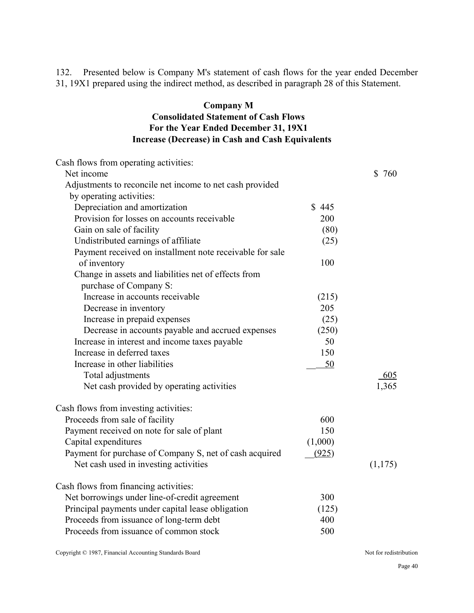132. Presented below is Company M's statement of cash flows for the year ended December 31, 19X1 prepared using the indirect method, as described in paragraph 28 of this Statement.

# **Company M Consolidated Statement of Cash Flows For the Year Ended December 31, 19X1 Increase (Decrease) in Cash and Cash Equivalents**

| Cash flows from operating activities:                    |         |         |
|----------------------------------------------------------|---------|---------|
| Net income                                               |         | \$760   |
| Adjustments to reconcile net income to net cash provided |         |         |
| by operating activities:                                 |         |         |
| Depreciation and amortization                            | \$445   |         |
| Provision for losses on accounts receivable              | 200     |         |
| Gain on sale of facility                                 | (80)    |         |
| Undistributed earnings of affiliate                      | (25)    |         |
| Payment received on installment note receivable for sale |         |         |
| of inventory                                             | 100     |         |
| Change in assets and liabilities net of effects from     |         |         |
| purchase of Company S:                                   |         |         |
| Increase in accounts receivable                          | (215)   |         |
| Decrease in inventory                                    | 205     |         |
| Increase in prepaid expenses                             | (25)    |         |
| Decrease in accounts payable and accrued expenses        | (250)   |         |
| Increase in interest and income taxes payable            | 50      |         |
| Increase in deferred taxes                               | 150     |         |
| Increase in other liabilities                            | 50      |         |
| Total adjustments                                        |         | 605     |
| Net cash provided by operating activities                |         | 1,365   |
| Cash flows from investing activities:                    |         |         |
| Proceeds from sale of facility                           | 600     |         |
| Payment received on note for sale of plant               | 150     |         |
| Capital expenditures                                     | (1,000) |         |
| Payment for purchase of Company S, net of cash acquired  | (925)   |         |
| Net cash used in investing activities                    |         | (1,175) |
| Cash flows from financing activities:                    |         |         |
| Net borrowings under line-of-credit agreement            | 300     |         |
| Principal payments under capital lease obligation        | (125)   |         |
| Proceeds from issuance of long-term debt                 | 400     |         |
| Proceeds from issuance of common stock                   | 500     |         |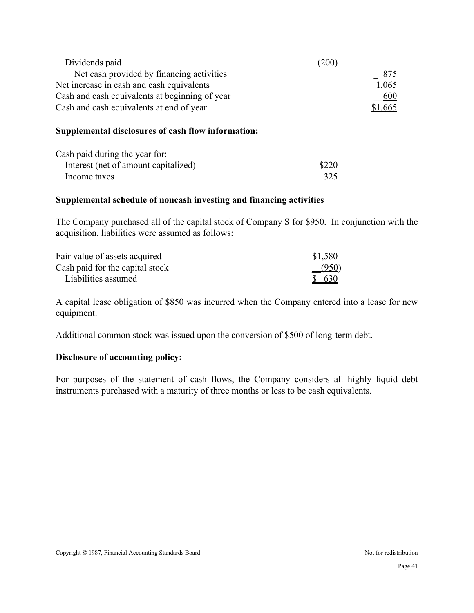| Dividends paid                                     |       |
|----------------------------------------------------|-------|
| Net cash provided by financing activities          | 875   |
| Net increase in cash and cash equivalents          | 1,065 |
| Cash and cash equivalents at beginning of year     | 600   |
| Cash and cash equivalents at end of year           | 1,665 |
| Supplemental disclosures of cash flow information: |       |

| Cash paid during the year for:       |       |
|--------------------------------------|-------|
| Interest (net of amount capitalized) | \$220 |
| Income taxes                         | 325   |

#### **Supplemental schedule of noncash investing and financing activities**

The Company purchased all of the capital stock of Company S for \$950. In conjunction with the acquisition, liabilities were assumed as follows:

| Fair value of assets acquired   | \$1,580 |
|---------------------------------|---------|
| Cash paid for the capital stock | (950)   |
| Liabilities assumed             | \$630   |

A capital lease obligation of \$850 was incurred when the Company entered into a lease for new equipment.

Additional common stock was issued upon the conversion of \$500 of long-term debt.

#### **Disclosure of accounting policy:**

For purposes of the statement of cash flows, the Company considers all highly liquid debt instruments purchased with a maturity of three months or less to be cash equivalents.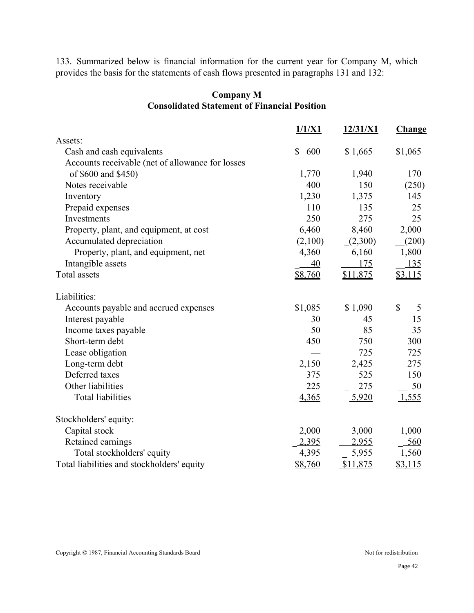133. Summarized below is financial information for the current year for Company M, which provides the basis for the statements of cash flows presented in paragraphs 131 and 132:

|                                                  | <u>1/1/X1</u> | <u>12/31/X1</u> | <b>Change</b>     |
|--------------------------------------------------|---------------|-----------------|-------------------|
| Assets:                                          |               |                 |                   |
| Cash and cash equivalents                        | \$<br>600     | \$1,665         | \$1,065           |
| Accounts receivable (net of allowance for losses |               |                 |                   |
| of \$600 and \$450)                              | 1,770         | 1,940           | 170               |
| Notes receivable                                 | 400           | 150             | (250)             |
| Inventory                                        | 1,230         | 1,375           | 145               |
| Prepaid expenses                                 | 110           | 135             | 25                |
| Investments                                      | 250           | 275             | 25                |
| Property, plant, and equipment, at cost          | 6,460         | 8,460           | 2,000             |
| Accumulated depreciation                         | (2,100)       | (2,300)         | (200)             |
| Property, plant, and equipment, net              | 4,360         | 6,160           | 1,800             |
| Intangible assets                                | 40            | 175             | 135               |
| <b>Total</b> assets                              | \$8,760       | \$11,875        | \$3,115           |
| Liabilities:                                     |               |                 |                   |
| Accounts payable and accrued expenses            | \$1,085       | \$1,090         | $\mathbb{S}$<br>5 |
| Interest payable                                 | 30            | 45              | 15                |
| Income taxes payable                             | 50            | 85              | 35                |
| Short-term debt                                  | 450           | 750             | 300               |
| Lease obligation                                 |               | 725             | 725               |
| Long-term debt                                   | 2,150         | 2,425           | 275               |
| Deferred taxes                                   | 375           | 525             | 150               |
| Other liabilities                                | 225           | 275             | 50                |
| <b>Total liabilities</b>                         | 4,365         | 5,920           | 1,555             |
| Stockholders' equity:                            |               |                 |                   |
| Capital stock                                    | 2,000         | 3,000           | 1,000             |
| Retained earnings                                | 2,395         | 2,955           | 560               |
| Total stockholders' equity                       | 4,395         | 5,955           | 1,560             |
| Total liabilities and stockholders' equity       | \$8,760       | \$11,875        | <u>\$3.115</u>    |

# **Company M Consolidated Statement of Financial Position**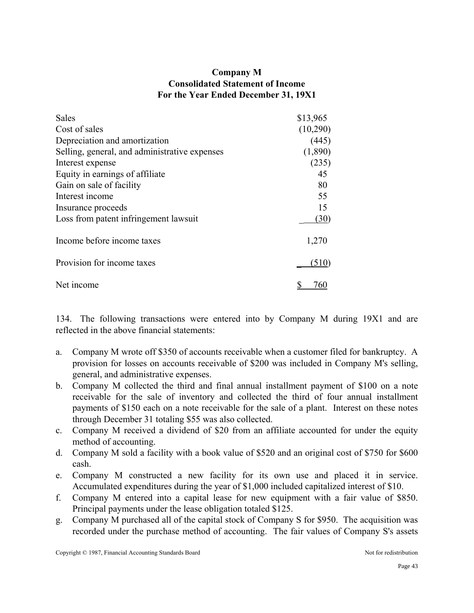## **Company M Consolidated Statement of Income For the Year Ended December 31, 19X1**

| <b>Sales</b>                                  | \$13,965 |
|-----------------------------------------------|----------|
| Cost of sales                                 | (10,290) |
| Depreciation and amortization                 | (445)    |
| Selling, general, and administrative expenses | (1,890)  |
| Interest expense                              | (235)    |
| Equity in earnings of affiliate               | 45       |
| Gain on sale of facility                      | 80       |
| Interest income                               | 55       |
| Insurance proceeds                            | 15       |
| Loss from patent infringement lawsuit         | (30)     |
| Income before income taxes                    | 1,270    |
| Provision for income taxes                    | (510)    |
| Net income                                    | 760      |

134. The following transactions were entered into by Company M during 19X1 and are reflected in the above financial statements:

- a. Company M wrote off \$350 of accounts receivable when a customer filed for bankruptcy. A provision for losses on accounts receivable of \$200 was included in Company M's selling, general, and administrative expenses.
- b. Company M collected the third and final annual installment payment of \$100 on a note receivable for the sale of inventory and collected the third of four annual installment payments of \$150 each on a note receivable for the sale of a plant. Interest on these notes through December 31 totaling \$55 was also collected.
- c. Company M received a dividend of \$20 from an affiliate accounted for under the equity method of accounting.
- d. Company M sold a facility with a book value of \$520 and an original cost of \$750 for \$600 cash.
- e. Company M constructed a new facility for its own use and placed it in service. Accumulated expenditures during the year of \$1,000 included capitalized interest of \$10.
- f. Company M entered into a capital lease for new equipment with a fair value of \$850. Principal payments under the lease obligation totaled \$125.
- g. Company M purchased all of the capital stock of Company S for \$950. The acquisition was recorded under the purchase method of accounting. The fair values of Company S's assets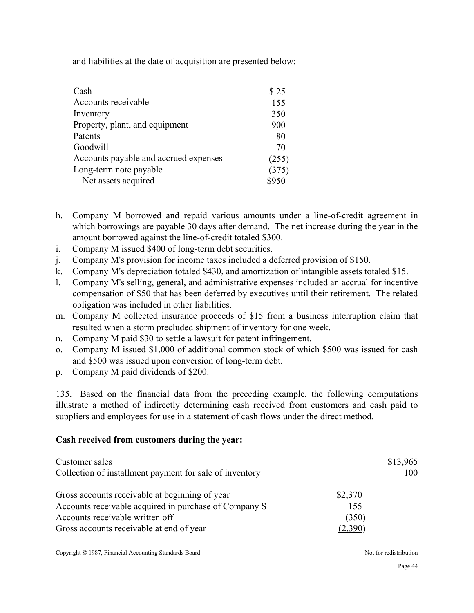and liabilities at the date of acquisition are presented below:

| Cash                                  | \$25  |
|---------------------------------------|-------|
| Accounts receivable                   | 155   |
| Inventory                             | 350   |
| Property, plant, and equipment        | 900   |
| Patents                               | 80    |
| Goodwill                              | 70    |
| Accounts payable and accrued expenses | (255) |
| Long-term note payable                | (375) |
| Net assets acquired                   |       |

- h. Company M borrowed and repaid various amounts under a line-of-credit agreement in which borrowings are payable 30 days after demand. The net increase during the year in the amount borrowed against the line-of-credit totaled \$300.
- i. Company M issued \$400 of long-term debt securities.
- j. Company M's provision for income taxes included a deferred provision of \$150.
- k. Company M's depreciation totaled \$430, and amortization of intangible assets totaled \$15.
- l. Company M's selling, general, and administrative expenses included an accrual for incentive compensation of \$50 that has been deferred by executives until their retirement. The related obligation was included in other liabilities.
- m. Company M collected insurance proceeds of \$15 from a business interruption claim that resulted when a storm precluded shipment of inventory for one week.
- n. Company M paid \$30 to settle a lawsuit for patent infringement.
- o. Company M issued \$1,000 of additional common stock of which \$500 was issued for cash and \$500 was issued upon conversion of long-term debt.
- p. Company M paid dividends of \$200.

135. Based on the financial data from the preceding example, the following computations illustrate a method of indirectly determining cash received from customers and cash paid to suppliers and employees for use in a statement of cash flows under the direct method.

## **Cash received from customers during the year:**

| Customer sales                                          | \$13,965 |
|---------------------------------------------------------|----------|
| Collection of installment payment for sale of inventory | 100      |
| Gross accounts receivable at beginning of year          | \$2,370  |
| Accounts receivable acquired in purchase of Company S   | 155      |
| Accounts receivable written off                         | (350)    |
| Gross accounts receivable at end of year                | (2,390)  |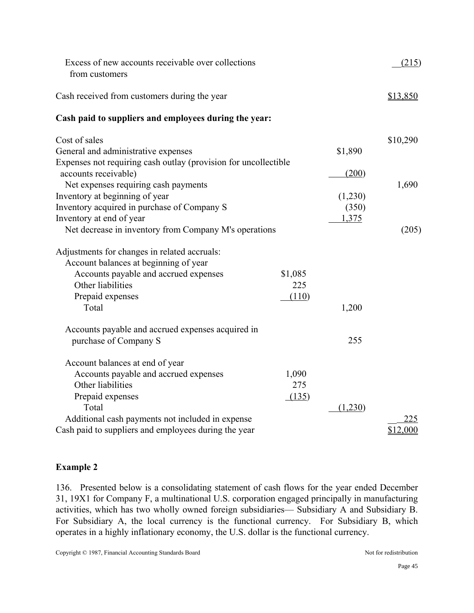| Excess of new accounts receivable over collections<br>from customers |         |         | (215)           |
|----------------------------------------------------------------------|---------|---------|-----------------|
| Cash received from customers during the year                         |         |         | <u>\$13,850</u> |
| Cash paid to suppliers and employees during the year:                |         |         |                 |
| Cost of sales                                                        |         |         | \$10,290        |
| General and administrative expenses                                  |         | \$1,890 |                 |
| Expenses not requiring cash outlay (provision for uncollectible      |         |         |                 |
| accounts receivable)                                                 |         | (200)   |                 |
| Net expenses requiring cash payments                                 |         |         | 1,690           |
| Inventory at beginning of year                                       |         | (1,230) |                 |
| Inventory acquired in purchase of Company S                          |         | (350)   |                 |
| Inventory at end of year                                             |         | 1,375   |                 |
| Net decrease in inventory from Company M's operations                |         |         | (205)           |
| Adjustments for changes in related accruals:                         |         |         |                 |
| Account balances at beginning of year                                |         |         |                 |
| Accounts payable and accrued expenses                                | \$1,085 |         |                 |
| Other liabilities                                                    | 225     |         |                 |
| Prepaid expenses                                                     | (110)   |         |                 |
| Total                                                                |         | 1,200   |                 |
| Accounts payable and accrued expenses acquired in                    |         |         |                 |
| purchase of Company S                                                |         | 255     |                 |
| Account balances at end of year                                      |         |         |                 |
| Accounts payable and accrued expenses                                | 1,090   |         |                 |
| Other liabilities                                                    | 275     |         |                 |
| Prepaid expenses                                                     | (135)   |         |                 |
| Total                                                                |         | (1,230) |                 |
| Additional cash payments not included in expense                     |         |         | 225             |
| Cash paid to suppliers and employees during the year                 |         |         | \$12,000        |
|                                                                      |         |         |                 |

## **Example 2**

136. Presented below is a consolidating statement of cash flows for the year ended December 31, 19X1 for Company F, a multinational U.S. corporation engaged principally in manufacturing activities, which has two wholly owned foreign subsidiaries— Subsidiary A and Subsidiary B. For Subsidiary A, the local currency is the functional currency. For Subsidiary B, which operates in a highly inflationary economy, the U.S. dollar is the functional currency.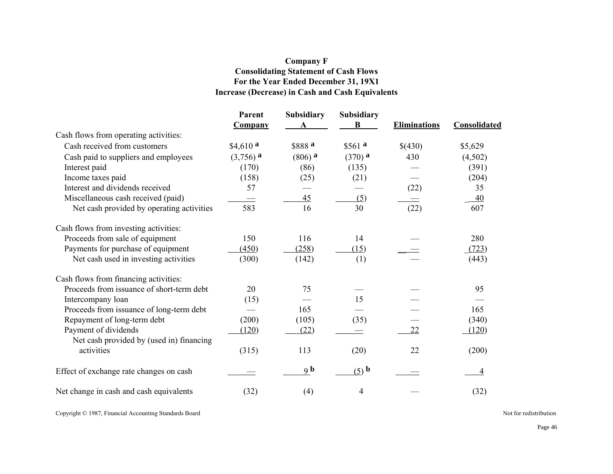## **Company F Consolidating Statement of Cash Flows For the Year Ended December 31, 19X1 Increase (Decrease) in Cash and Cash Equivalents**

|                                           | Parent         | <b>Subsidiary</b> | Subsidiary |                     |              |
|-------------------------------------------|----------------|-------------------|------------|---------------------|--------------|
|                                           | <b>Company</b> | A                 | B          | <b>Eliminations</b> | Consolidated |
| Cash flows from operating activities:     |                |                   |            |                     |              |
| Cash received from customers              | $$4,610$ a     | \$888 a           | $$561$ a   | \$(430)             | \$5,629      |
| Cash paid to suppliers and employees      | $(3,756)$ a    | $(806)$ a         | $(370)$ a  | 430                 | (4,502)      |
| Interest paid                             | (170)          | (86)              | (135)      |                     | (391)        |
| Income taxes paid                         | (158)          | (25)              | (21)       |                     | (204)        |
| Interest and dividends received           | 57             |                   |            | (22)                | 35           |
| Miscellaneous cash received (paid)        |                | 45                | (5)        |                     | 40           |
| Net cash provided by operating activities | 583            | 16                | 30         | (22)                | 607          |
| Cash flows from investing activities:     |                |                   |            |                     |              |
| Proceeds from sale of equipment           | 150            | 116               | 14         |                     | 280          |
| Payments for purchase of equipment        | (450)          | (258)             | (15)       |                     | (723)        |
| Net cash used in investing activities     | (300)          | (142)             | (1)        |                     | (443)        |
| Cash flows from financing activities:     |                |                   |            |                     |              |
| Proceeds from issuance of short-term debt | 20             | 75                |            |                     | 95           |
| Intercompany loan                         | (15)           |                   | 15         |                     |              |
| Proceeds from issuance of long-term debt  |                | 165               |            |                     | 165          |
| Repayment of long-term debt               | (200)          | (105)             | (35)       |                     | (340)        |
| Payment of dividends                      | (120)          | (22)              |            | 22                  | (120)        |
| Net cash provided by (used in) financing  |                |                   |            |                     |              |
| activities                                | (315)          | 113               | (20)       | 22                  | (200)        |
| Effect of exchange rate changes on cash   |                | 9 <b>b</b>        | $(5)$ b    |                     |              |
| Net change in cash and cash equivalents   | (32)           | (4)               | 4          |                     | (32)         |
|                                           |                |                   |            |                     |              |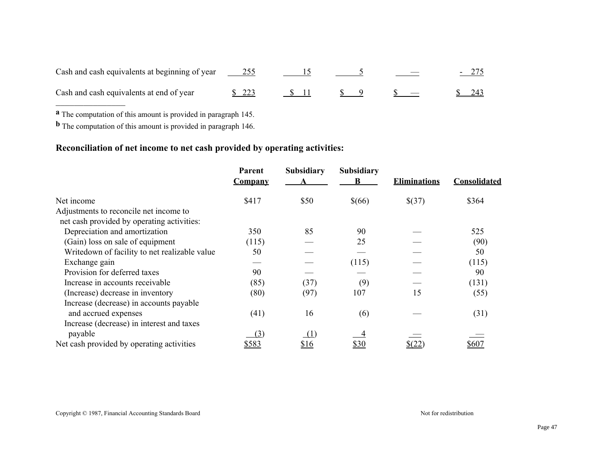| Cash and cash equivalents at beginning of year $\qquad \qquad \boxed{255}$ |      |                | $\angle L$ |
|----------------------------------------------------------------------------|------|----------------|------------|
| Cash and cash equivalents at end of year                                   | S 11 | $\sqrt{s}$ $-$ |            |

**<sup>a</sup>** The computation of this amount is provided in paragraph 145.

**b** The computation of this amount is provided in paragraph 146.

# **Reconciliation of net income to net cash provided by operating activities:**

|                                                                 | Parent<br><u>Company</u> | <b>Subsidiary</b> | Subsidiary | <b>Eliminations</b> | <b>Consolidated</b> |
|-----------------------------------------------------------------|--------------------------|-------------------|------------|---------------------|---------------------|
| Net income                                                      | \$417                    | \$50              | \$(66)     | \$(37)              | \$364               |
| Adjustments to reconcile net income to                          |                          |                   |            |                     |                     |
| net cash provided by operating activities:                      |                          |                   |            |                     |                     |
| Depreciation and amortization                                   | 350                      | 85                | 90         |                     | 525                 |
| (Gain) loss on sale of equipment                                | (115)                    |                   | 25         |                     | (90)                |
| Writedown of facility to net realizable value                   | 50                       |                   |            |                     | 50                  |
| Exchange gain                                                   |                          |                   | (115)      |                     | (115)               |
| Provision for deferred taxes                                    | 90                       |                   |            |                     | 90                  |
| Increase in accounts receivable                                 | (85)                     | (37)              | (9)        |                     | (131)               |
| (Increase) decrease in inventory                                | (80)                     | (97)              | 107        | 15                  | (55)                |
| Increase (decrease) in accounts payable<br>and accrued expenses | (41)                     | 16                | (6)        |                     | (31)                |
| Increase (decrease) in interest and taxes                       |                          |                   |            |                     |                     |
| payable                                                         | $\frac{3}{2}$            | $\Box$            | -4         |                     |                     |
| Net cash provided by operating activities                       | \$583                    | \$16              | \$30       | \$(22)              | \$607               |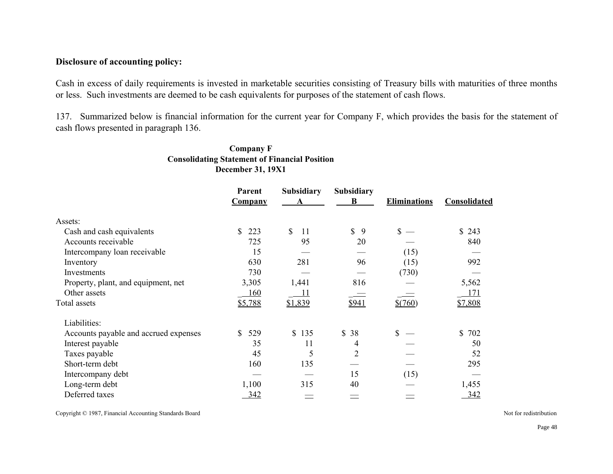## **Disclosure of accounting policy:**

Cash in excess of daily requirements is invested in marketable securities consisting of Treasury bills with maturities of three months or less. Such investments are deemed to be cash equivalents for purposes of the statement of cash flows.

137. Summarized below is financial information for the current year for Company F, which provides the basis for the statement of cash flows presented in paragraph 136.

|                                       | Parent<br><b>Company</b> | <b>Subsidiary</b><br>A | Subsidiary<br>B    | <b>Eliminations</b> | Consolidated |
|---------------------------------------|--------------------------|------------------------|--------------------|---------------------|--------------|
| Assets:                               |                          |                        |                    |                     |              |
| Cash and cash equivalents             | \$<br>223                | \$<br>11               | \$<br>9            | S.                  | \$243        |
| Accounts receivable                   | 725                      | 95                     | 20                 |                     | 840          |
| Intercompany loan receivable          | 15                       |                        |                    | (15)                |              |
| Inventory                             | 630                      | 281                    | 96                 | (15)                | 992          |
| Investments                           | 730                      |                        |                    | (730)               |              |
| Property, plant, and equipment, net   | 3,305                    | 1,441                  | 816                |                     | 5,562        |
| Other assets                          | <u>160</u>               |                        |                    |                     | <u> 171</u>  |
| Total assets                          | \$5,788                  | \$1,839                | \$941              | \$(760)             | \$7,808      |
| Liabilities:                          |                          |                        |                    |                     |              |
| Accounts payable and accrued expenses | 529<br>\$                | \$135                  | $\mathbb{S}$<br>38 | \$                  | \$702        |
| Interest payable                      | 35                       | 11                     | 4                  |                     | 50           |
| Taxes payable                         | 45                       | 5                      | 2                  |                     | 52           |
| Short-term debt                       | 160                      | 135                    |                    |                     | 295          |
| Intercompany debt                     |                          |                        | 15                 | (15)                |              |
| Long-term debt                        | 1,100                    | 315                    | 40                 |                     | 1,455        |
| Deferred taxes                        | 342                      |                        |                    |                     | 342          |

## **Company F Consolidating Statement of Financial Position December 31, 19X1**

Copyright © 1987, Financial Accounting Standards Board Not for redistribution Not for redistribution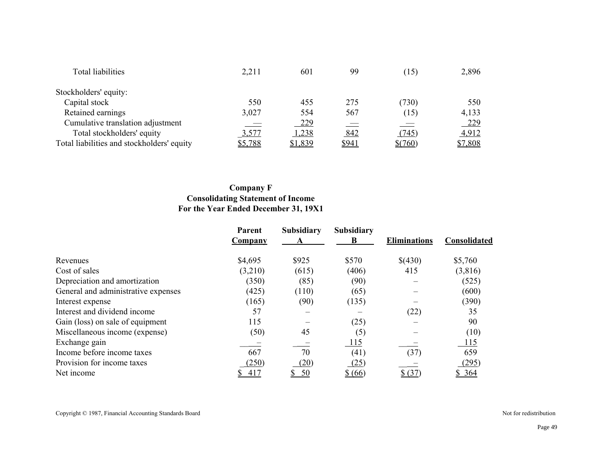| Total liabilities                          | 2,211    | 601        | 99       | (15)    | 2,896   |
|--------------------------------------------|----------|------------|----------|---------|---------|
| Stockholders' equity:                      |          |            |          |         |         |
| Capital stock                              | 550      | 455        | 275      | (730)   | 550     |
| Retained earnings                          | 3,027    | 554        | 567      | (15)    | 4,133   |
| Cumulative translation adjustment          | $\equiv$ | <u>229</u> | $\equiv$ |         | 229     |
| Total stockholders' equity                 | 3,577    | 1,238      | 842      | (745)   | 4,912   |
| Total liabilities and stockholders' equity | \$5,788  | \$1,839    | \$941    | \$(760) | \$7,808 |

## **Company F Consolidating Statement of Income For the Year Ended December 31, 19X1**

|                                     | Parent<br><b>Company</b> | Subsidiary<br>A | <b>Subsidiary</b><br>B | <b>Eliminations</b> | <b>Consolidated</b> |
|-------------------------------------|--------------------------|-----------------|------------------------|---------------------|---------------------|
| Revenues                            | \$4,695                  | \$925           | \$570                  | \$(430)             | \$5,760             |
| Cost of sales                       | (3,210)                  | (615)           | (406)                  | 415                 | (3,816)             |
| Depreciation and amortization       | (350)                    | (85)            | (90)                   |                     | (525)               |
| General and administrative expenses | (425)                    | (110)           | (65)                   |                     | (600)               |
| Interest expense                    | (165)                    | (90)            | (135)                  |                     | (390)               |
| Interest and dividend income        | 57                       |                 |                        | (22)                | 35                  |
| Gain (loss) on sale of equipment    | 115                      |                 | (25)                   |                     | 90                  |
| Miscellaneous income (expense)      | (50)                     | 45              | (5)                    |                     | (10)                |
| Exchange gain                       |                          |                 | 115                    |                     | <u>115</u>          |
| Income before income taxes          | 667                      | 70              | (41)                   | (37)                | 659                 |
| Provision for income taxes          | (250)                    | (20)            | (25)                   |                     | (295)               |
| Net income                          | 417                      | -50<br>S.       | \$ (66)                | \$ (37)             | \$364               |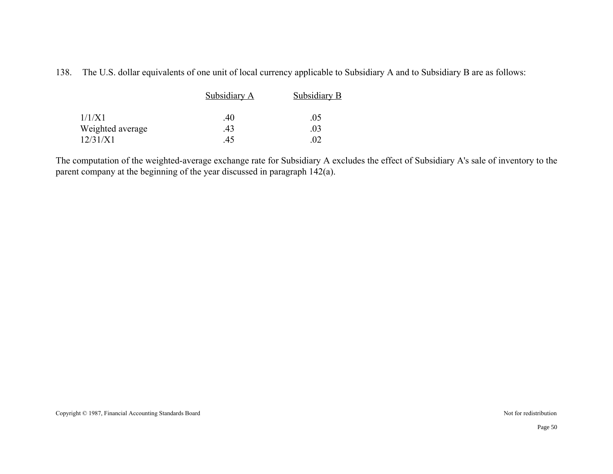138. The U.S. dollar equivalents of one unit of local currency applicable to Subsidiary A and to Subsidiary B are as follows:

|                  | Subsidiary A     | <b>Subsidiary B</b> |
|------------------|------------------|---------------------|
| 1/1/X1           | .40 <sub>1</sub> | .05                 |
| Weighted average | .43              | .03                 |
| 12/31/X1         | 45               | 02                  |

The computation of the weighted-average exchange rate for Subsidiary A excludes the effect of Subsidiary A's sale of inventory to the parent company at the beginning of the year discussed in paragraph 142(a).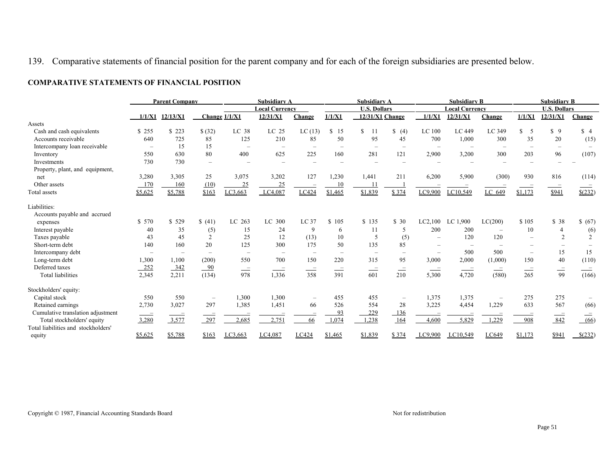#### 139. Comparative statements of financial position for the parent company and for each of the foreign subsidiaries are presented below.

#### **COMPARATIVE STATEMENTS OF FINANCIAL POSITION**

|                                     |                          | <b>Parent Company</b>    |                          |                          | Subsidiary A             |                          |                          | Subsidiary A             |                          |                          | <b>Subsidiary B</b>      |                          |                          | <b>Subsidiary B</b>      |                |
|-------------------------------------|--------------------------|--------------------------|--------------------------|--------------------------|--------------------------|--------------------------|--------------------------|--------------------------|--------------------------|--------------------------|--------------------------|--------------------------|--------------------------|--------------------------|----------------|
|                                     |                          |                          |                          |                          | <b>Local Currency</b>    |                          |                          | <b>U.S. Dollars</b>      |                          |                          | <b>Local Currency</b>    |                          |                          | <b>U.S. Dollars</b>      |                |
|                                     | 1/1/X1                   | 12/13/X1                 |                          | Change 1/1/X1            | 12/31/X1                 | Change                   | 1/1/X1                   | 12/31/X1 Change          |                          | 1/1/X1                   | 12/31/X1                 | Change                   | 1/1/X1                   | 12/31/X1                 | Change         |
| Assets                              |                          |                          |                          |                          |                          |                          |                          |                          |                          |                          |                          |                          |                          |                          |                |
| Cash and cash equivalents           | \$255                    | \$223                    | \$ (32)                  | LC 38                    | LC 25                    | LC(13)                   | \$15                     | S<br>-11                 | \$(4)                    | LC 100                   | LC 449                   | LC 349                   | S.<br>$\overline{5}$     | \$9                      | \$4            |
| Accounts receivable                 | 640                      | 725                      | 85                       | 125                      | 210                      | 85                       | 50                       | 95                       | 45                       | 700                      | 1,000                    | 300                      | 35                       | 20                       | (15)           |
| Intercompany loan receivable        | $\overline{\phantom{m}}$ | 15                       | 15                       | $\overline{\phantom{m}}$ | $\overline{\phantom{a}}$ | $\overline{\phantom{m}}$ | $\overline{\phantom{m}}$ | $\overline{\phantom{m}}$ | $\overline{\phantom{m}}$ | $\overline{\phantom{a}}$ | $\overline{\phantom{m}}$ | $\overline{\phantom{a}}$ |                          | $\overline{\phantom{m}}$ |                |
| Inventory                           | 550                      | 630                      | 80                       | 400                      | 625                      | 225                      | 160                      | 281                      | 121                      | 2,900                    | 3,200                    | 300                      | 203                      | 96                       | (107)          |
| Investments                         | 730                      | 730                      | $=$                      |                          |                          |                          |                          |                          |                          |                          |                          |                          |                          |                          |                |
| Property, plant, and equipment,     |                          |                          |                          |                          |                          |                          |                          |                          |                          |                          |                          |                          |                          |                          |                |
| net                                 | 3,280                    | 3,305                    | 25                       | 3,075                    | 3,202                    | 127                      | 1,230                    | 1,441                    | 211                      | 6,200                    | 5,900                    | (300)                    | 930                      | 816                      | (114)          |
| Other assets                        | 170                      | 160                      | (10)                     | 25                       | 25                       | $\overline{\phantom{a}}$ | 10                       |                          |                          |                          |                          |                          |                          |                          |                |
| Total assets                        | \$5,625                  | \$5,788                  | $\underline{$163}$       | LC3.663                  | LC4,087                  | LC424                    | \$1,465                  | \$1,839                  | \$374                    | LC9,900                  | LC10,549                 | LC 649                   | \$1,173                  | \$941                    | \$ (232)       |
| Liabilities:                        |                          |                          |                          |                          |                          |                          |                          |                          |                          |                          |                          |                          |                          |                          |                |
| Accounts payable and accrued        |                          |                          |                          |                          |                          |                          |                          |                          |                          |                          |                          |                          |                          |                          |                |
| expenses                            | \$570                    | \$529                    | \$(41)                   | LC 263                   | LC 300                   | LC 37                    | \$105                    | \$135                    | \$30                     | LC2.100                  | LC 1.900                 | LC(200)                  | \$105                    | \$38                     | \$ (67)        |
| Interest payable                    | 40                       | 35                       | (5)                      | 15                       | 24                       | 9                        | 6                        | 11                       | 5                        | 200                      | 200                      | $\overline{\phantom{0}}$ | 10                       | $\overline{4}$           | (6)            |
| Taxes payable                       | 43                       | 45                       | 2                        | 25                       | 12                       | (13)                     | 10                       | 5                        | (5)                      |                          | 120                      | 120                      |                          | $\overline{2}$           | $\overline{2}$ |
| Short-term debt                     | 140                      | 160                      | 20                       | 125                      | 300                      | 175                      | 50                       | 135                      | 85                       | $\equiv$                 | $\overline{\phantom{m}}$ |                          | $\overline{\phantom{a}}$ |                          |                |
| Intercompany debt                   | $\overline{\phantom{m}}$ | $\overline{\phantom{a}}$ | $\overline{\phantom{m}}$ | $\overline{\phantom{m}}$ | $\overline{\phantom{a}}$ | $\overline{\phantom{m}}$ |                          | $\overline{\phantom{0}}$ | $\overline{\phantom{m}}$ | $\overline{\phantom{m}}$ | 500                      | 500                      |                          | 15                       | 15             |
| Long-term debt                      | 1,300                    | 1,100                    | (200)                    | 550                      | 700                      | 150                      | 220                      | 315                      | 95                       | 3,000                    | 2,000                    | (1,000)                  | 150                      | 40                       | (110)          |
| Deferred taxes                      | $-252$                   | $-342$                   | $-90$                    | $\equiv$                 |                          |                          | $\equiv$                 | $\equiv$                 | $\equiv$                 |                          |                          | $\equiv$                 | $\equiv$                 | $\equiv$                 |                |
| <b>Total liabilities</b>            | 2,345                    | 2,211                    | (134)                    | 978                      | 1,336                    | 358                      | 391                      | 601                      | 210                      | 5,300                    | 4,720                    | (580)                    | 265                      | 99                       | (166)          |
| Stockholders' equity:               |                          |                          |                          |                          |                          |                          |                          |                          |                          |                          |                          |                          |                          |                          |                |
| Capital stock                       | 550                      | 550                      | $\overline{\phantom{m}}$ | 1,300                    | 1,300                    |                          | 455                      | 455                      |                          | 1,375                    | 1,375                    |                          | 275                      | 275                      |                |
| Retained earnings                   | 2,730                    | 3,027                    | 297                      | 1,385                    | 1,451                    | -66                      | 526                      | 554                      | 28                       | 3,225                    | 4,454                    | 1,229                    | 633                      | 567                      | (66)           |
| Cumulative translation adjustment   | $\overline{\phantom{a}}$ |                          |                          |                          |                          |                          | 93                       | 229                      | 136                      |                          |                          |                          |                          |                          |                |
| Total stockholders' equity          | 3,280                    | 3,577                    | 297                      | 2,685                    | 2,751                    | 66                       | 1,074                    | 1,238                    | 164                      | 4.600                    | 5,829                    | 1,229                    | 908                      | 842                      | (66)           |
| Total liabilities and stockholders' |                          |                          |                          |                          |                          |                          |                          |                          |                          |                          |                          |                          |                          |                          |                |
| equity                              | \$5,625                  | \$5,788                  | \$163                    | LC3,663                  | LC4,087                  | LC424                    | \$1,465                  | \$1,839                  | \$374                    | LC9,900                  | LC10,549                 | LC649                    | \$1,173                  | \$941                    | $$^{(232)}$    |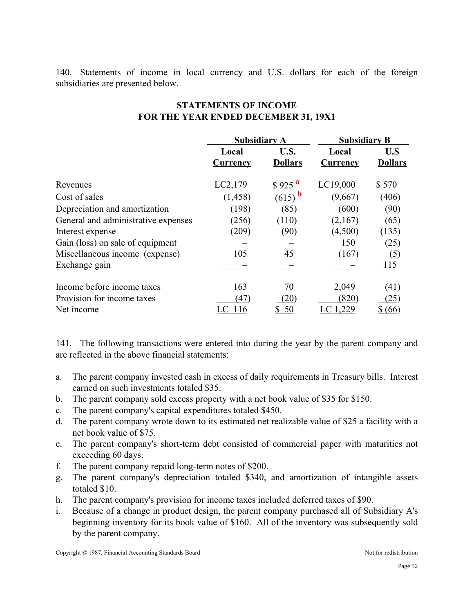140. Statements of income in local currency and U.S. dollars for each of the foreign subsidiaries are presented below.

|                                     | <b>Subsidiary A</b> |                      | <b>Subsidiary B</b> |                |  |
|-------------------------------------|---------------------|----------------------|---------------------|----------------|--|
|                                     | Local               | U.S.                 | Local               | U.S            |  |
|                                     | <b>Currency</b>     | <b>Dollars</b>       | <b>Currency</b>     | <b>Dollars</b> |  |
| Revenues                            | LC2,179             | $$925$ <sup>a</sup>  | LC19,000            | \$570          |  |
| Cost of sales                       | (1, 458)            | $(615)$ <sup>b</sup> | (9,667)             | (406)          |  |
| Depreciation and amortization       | (198)               | (85)                 | (600)               | (90)           |  |
| General and administrative expenses | (256)               | (110)                | (2,167)             | (65)           |  |
| Interest expense                    | (209)               | (90)                 | (4,500)             | (135)          |  |
| Gain (loss) on sale of equipment    |                     |                      | 150                 | (25)           |  |
| Miscellaneous income (expense)      | 105                 | 45                   | (167)               | (5)            |  |
| Exchange gain                       |                     |                      |                     | 115            |  |
| Income before income taxes          | 163                 | 70                   | 2,049               | (41)           |  |
| Provision for income taxes          | (47)                | (20)                 | (820)               | (25)           |  |
| Net income                          | 116                 | 50                   | ,229                | \$ (66)        |  |

# **STATEMENTS OF INCOME FOR THE YEAR ENDED DECEMBER 31, 19X1**

141. The following transactions were entered into during the year by the parent company and are reflected in the above financial statements:

- a. The parent company invested cash in excess of daily requirements in Treasury bills. Interest earned on such investments totaled \$35.
- b. The parent company sold excess property with a net book value of \$35 for \$150.
- c. The parent company's capital expenditures totaled \$450.
- d. The parent company wrote down to its estimated net realizable value of \$25 a facility with a net book value of \$75.
- e. The parent company's short-term debt consisted of commercial paper with maturities not exceeding 60 days.
- f. The parent company repaid long-term notes of \$200.
- g. The parent company's depreciation totaled \$340, and amortization of intangible assets totaled \$10.
- h. The parent company's provision for income taxes included deferred taxes of \$90.
- i. Because of a change in product design, the parent company purchased all of Subsidiary A's beginning inventory for its book value of \$160. All of the inventory was subsequently sold by the parent company.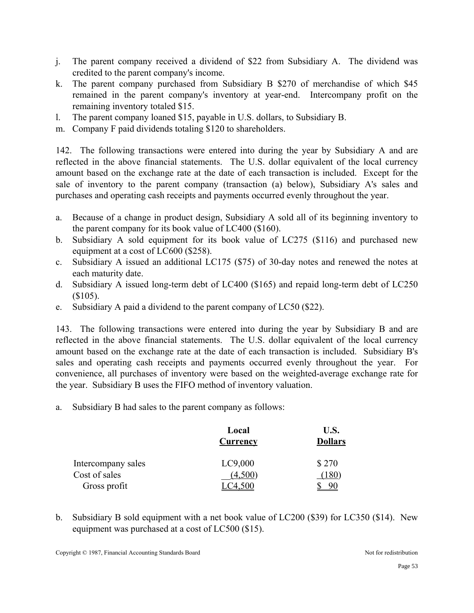- j. The parent company received a dividend of \$22 from Subsidiary A. The dividend was credited to the parent company's income.
- k. The parent company purchased from Subsidiary B \$270 of merchandise of which \$45 remained in the parent company's inventory at year-end. Intercompany profit on the remaining inventory totaled \$15.
- l. The parent company loaned \$15, payable in U.S. dollars, to Subsidiary B.
- m. Company F paid dividends totaling \$120 to shareholders.

142. The following transactions were entered into during the year by Subsidiary A and are reflected in the above financial statements. The U.S. dollar equivalent of the local currency amount based on the exchange rate at the date of each transaction is included. Except for the sale of inventory to the parent company (transaction (a) below), Subsidiary A's sales and purchases and operating cash receipts and payments occurred evenly throughout the year.

- a. Because of a change in product design, Subsidiary A sold all of its beginning inventory to the parent company for its book value of LC400 (\$160).
- b. Subsidiary A sold equipment for its book value of LC275 (\$116) and purchased new equipment at a cost of LC600 (\$258).
- c. Subsidiary A issued an additional LC175 (\$75) of 30-day notes and renewed the notes at each maturity date.
- d. Subsidiary A issued long-term debt of LC400 (\$165) and repaid long-term debt of LC250 (\$105).
- e. Subsidiary A paid a dividend to the parent company of LC50 (\$22).

143. The following transactions were entered into during the year by Subsidiary B and are reflected in the above financial statements. The U.S. dollar equivalent of the local currency amount based on the exchange rate at the date of each transaction is included. Subsidiary B's sales and operating cash receipts and payments occurred evenly throughout the year. For convenience, all purchases of inventory were based on the weighted-average exchange rate for the year. Subsidiary B uses the FIFO method of inventory valuation.

a. Subsidiary B had sales to the parent company as follows:

|                    | Local<br><b>Currency</b> | U.S.<br><b>Dollars</b> |  |  |
|--------------------|--------------------------|------------------------|--|--|
| Intercompany sales | LC9,000                  | \$270                  |  |  |
| Cost of sales      | (4,500)                  | 180                    |  |  |
| Gross profit       |                          |                        |  |  |

b. Subsidiary B sold equipment with a net book value of LC200 (\$39) for LC350 (\$14). New equipment was purchased at a cost of LC500 (\$15).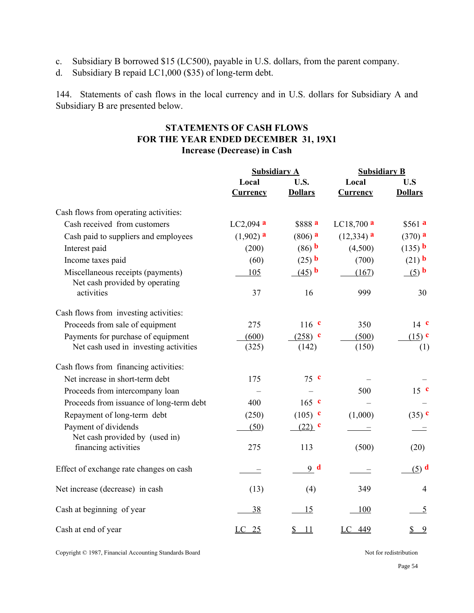- c. Subsidiary B borrowed \$15 (LC500), payable in U.S. dollars, from the parent company.
- d. Subsidiary B repaid LC1,000 (\$35) of long-term debt.

144. Statements of cash flows in the local currency and in U.S. dollars for Subsidiary A and Subsidiary B are presented below.

## **STATEMENTS OF CASH FLOWS FOR THE YEAR ENDED DECEMBER 31, 19X1 Increase (Decrease) in Cash**

|                                                                     | <b>Subsidiary A</b>      |                                 | <b>Subsidiary B</b> |                      |
|---------------------------------------------------------------------|--------------------------|---------------------------------|---------------------|----------------------|
|                                                                     | Local                    | U.S.                            | Local               | U.S                  |
|                                                                     | <b>Currency</b>          | <b>Dollars</b>                  | <b>Currency</b>     | <b>Dollars</b>       |
| Cash flows from operating activities:                               |                          |                                 |                     |                      |
| Cash received from customers                                        | $LC2,094$ a              | \$888 a                         | LC18,700 a          | $$561$ a             |
| Cash paid to suppliers and employees                                | $(1,902)$ a              | $(806)$ a                       | $(12, 334)$ a       | $(370)$ a            |
| Interest paid                                                       | (200)                    | $(86)$ b                        | (4,500)             | $(135)$ <b>b</b>     |
| Income taxes paid                                                   | (60)                     | $(25)$ b                        | (700)               | $(21)$ <b>b</b>      |
| Miscellaneous receipts (payments)<br>Net cash provided by operating | 105                      | $\frac{(45)}{9}$ b              | (167)               | $(5)$ b              |
| activities                                                          | 37                       | 16                              | 999                 | 30                   |
| Cash flows from investing activities:                               |                          |                                 |                     |                      |
| Proceeds from sale of equipment                                     | 275                      | $116$ c                         | 350                 | $14$ c               |
| Payments for purchase of equipment                                  | (600)                    | $(258)$ c                       | (500)               | $(15)$ c             |
| Net cash used in investing activities                               | (325)                    | (142)                           | (150)               | (1)                  |
| Cash flows from financing activities:                               |                          |                                 |                     |                      |
| Net increase in short-term debt                                     | 175                      | $75$ c                          |                     |                      |
| Proceeds from intercompany loan                                     |                          |                                 | 500                 | 15 <sup>c</sup>      |
| Proceeds from issuance of long-term debt                            | 400                      | $165$ c                         |                     |                      |
| Repayment of long-term debt                                         | (250)                    | $(105)$ c                       | (1,000)             | $(35)$ c             |
| Payment of dividends                                                | (50)                     | $(22)$ c                        |                     |                      |
| Net cash provided by (used in)                                      |                          |                                 |                     |                      |
| financing activities                                                | 275                      | 113                             | (500)               | (20)                 |
| Effect of exchange rate changes on cash                             | $\overline{\phantom{0}}$ | 9d                              |                     | $(5)$ <sup>d</sup>   |
| Net increase (decrease) in cash                                     | (13)                     | (4)                             | 349                 | 4                    |
| Cash at beginning of year                                           | 38                       | 15                              | 100                 | 5                    |
| Cash at end of year                                                 | LC 25                    | $\overline{11}$<br>$\mathbb{S}$ | LC 449              | $\overline{9}$<br>\$ |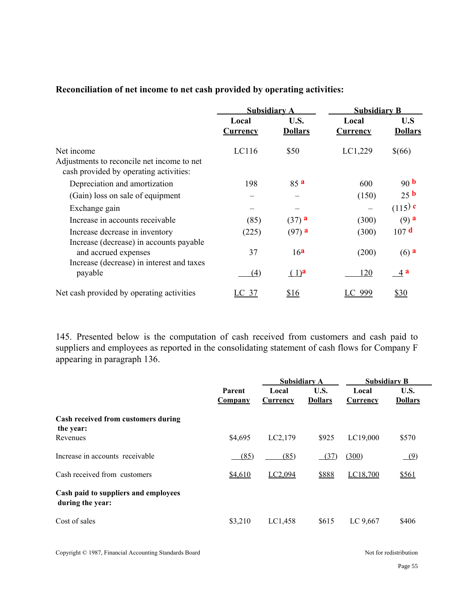## **Reconciliation of net income to net cash provided by operating activities:**

|                                                                                                    | <b>Subsidiary A</b>      |                        | <b>Subsidiary B</b>      |                       |  |
|----------------------------------------------------------------------------------------------------|--------------------------|------------------------|--------------------------|-----------------------|--|
|                                                                                                    | Local<br><b>Currency</b> | U.S.<br><b>Dollars</b> | Local<br><b>Currency</b> | U.S<br><b>Dollars</b> |  |
| Net income<br>Adjustments to reconcile net income to net<br>cash provided by operating activities: | LC116                    | \$50                   | LC1,229                  | \$(66)                |  |
| Depreciation and amortization                                                                      | 198                      | 85a                    | 600                      | 90 b                  |  |
| (Gain) loss on sale of equipment                                                                   |                          |                        | (150)                    | 25 <sub>b</sub>       |  |
| Exchange gain                                                                                      |                          |                        |                          | $(115)$ c             |  |
| Increase in accounts receivable                                                                    | (85)                     | $(37)$ a               | (300)                    | $(9)$ a               |  |
| Increase decrease in inventory<br>Increase (decrease) in accounts payable                          | (225)                    | $(97)$ a               | (300)                    | $107$ d               |  |
| and accrued expenses<br>Increase (decrease) in interest and taxes                                  | 37                       | 16 <sup>a</sup>        | (200)                    | $(6)$ a               |  |
| payable                                                                                            | (4)                      | (1) <sup>a</sup>       | 120                      | 4 <sup>a</sup>        |  |
| Net cash provided by operating activities                                                          | LC 37                    | \$16                   | LC 999                   | \$30                  |  |

145. Presented below is the computation of cash received from customers and cash paid to suppliers and employees as reported in the consolidating statement of cash flows for Company F appearing in paragraph 136.

|                                                          |         | Subsidiary A |                | <b>Subsidiary B</b> |                |
|----------------------------------------------------------|---------|--------------|----------------|---------------------|----------------|
|                                                          | Parent  | Local        | U.S.           | Local               | U.S.           |
|                                                          | Company | Currency     | <b>Dollars</b> | Currency            | <b>Dollars</b> |
| Cash received from customers during<br>the year:         |         |              |                |                     |                |
| Revenues                                                 | \$4,695 | LC2,179      | \$925          | LC19,000            | \$570          |
| Increase in accounts receivable                          | (85)    | (85)         | (37)           | (300)               | <u>(9)</u>     |
| Cash received from customers                             | \$4,610 | LC2,094      | \$888          | LC18,700            | \$561          |
| Cash paid to suppliers and employees<br>during the year: |         |              |                |                     |                |
| Cost of sales                                            | \$3,210 | LC1,458      | \$615          | LC 9.667            | \$406          |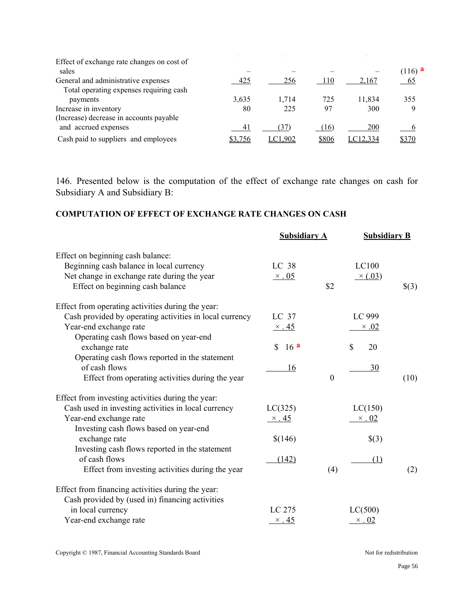| Effect of exchange rate changes on cost of |         |         |       |        |           |
|--------------------------------------------|---------|---------|-------|--------|-----------|
| sales                                      |         |         |       |        | $(116)$ a |
| General and administrative expenses        | 425     | 256     | 110   | 2,167  | <u>65</u> |
| Total operating expenses requiring cash    |         |         |       |        |           |
| payments                                   | 3,635   | 1.714   | 725   | 11,834 | 355       |
| Increase in inventory                      | 80      | 225     | 97    | 300    | 9         |
| (Increase) decrease in accounts payable    |         |         |       |        |           |
| and accrued expenses                       | 41      | (37)    | (16)  | 200    |           |
| Cash paid to suppliers and employees       | \$3.756 | LC1.902 | \$806 |        | \$370     |

146. Presented below is the computation of the effect of exchange rate changes on cash for Subsidiary A and Subsidiary B:

## **COMPUTATION OF EFFECT OF EXCHANGE RATE CHANGES ON CASH**

|                                                         | <b>Subsidiary A</b> |          | <b>Subsidiary B</b> |         |
|---------------------------------------------------------|---------------------|----------|---------------------|---------|
| Effect on beginning cash balance:                       |                     |          |                     |         |
| Beginning cash balance in local currency                | LC 38               |          | LC100               |         |
| Net change in exchange rate during the year             | $\times$ . 05       |          | $\times$ (.03)      |         |
| Effect on beginning cash balance                        |                     | \$2      |                     | $\$(3)$ |
| Effect from operating activities during the year:       |                     |          |                     |         |
| Cash provided by operating activities in local currency | LC 37               |          | LC 999              |         |
| Year-end exchange rate                                  | $\times$ . 45       |          | $\times .02$        |         |
| Operating cash flows based on year-end                  |                     |          |                     |         |
| exchange rate                                           | \$<br>16a           |          | $\mathbf S$<br>20   |         |
| Operating cash flows reported in the statement          |                     |          |                     |         |
| of cash flows                                           | 16                  |          | 30                  |         |
| Effect from operating activities during the year        |                     | $\theta$ |                     | (10)    |
| Effect from investing activities during the year:       |                     |          |                     |         |
| Cash used in investing activities in local currency     | LC(325)             |          | LC(150)             |         |
| Year-end exchange rate                                  | $\times$ . 45       |          | $\times$ . 02       |         |
| Investing cash flows based on year-end                  |                     |          |                     |         |
| exchange rate                                           | \$(146)             |          | \$(3)               |         |
| Investing cash flows reported in the statement          |                     |          |                     |         |
| of cash flows                                           | (142)               |          | (1)                 |         |
| Effect from investing activities during the year        |                     | (4)      |                     | (2)     |
| Effect from financing activities during the year:       |                     |          |                     |         |
| Cash provided by (used in) financing activities         |                     |          |                     |         |
| in local currency                                       | LC 275              |          | LC(500)             |         |
| Year-end exchange rate                                  | $\times$ . 45       |          | $\times$ . 02       |         |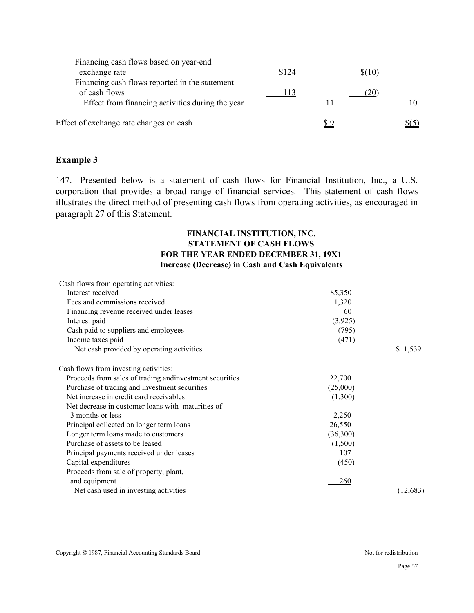| Financing cash flows based on year-end           |       |        |  |
|--------------------------------------------------|-------|--------|--|
| exchange rate                                    | \$124 | \$(10) |  |
| Financing cash flows reported in the statement   |       |        |  |
| of cash flows                                    | 113   | (20)   |  |
| Effect from financing activities during the year |       |        |  |
| Effect of exchange rate changes on cash          |       | ςq     |  |

#### **Example 3**

147. Presented below is a statement of cash flows for Financial Institution, Inc., a U.S. corporation that provides a broad range of financial services. This statement of cash flows illustrates the direct method of presenting cash flows from operating activities, as encouraged in paragraph 27 of this Statement.

#### **FINANCIAL INSTITUTION, INC. STATEMENT OF CASH FLOWS FOR THE YEAR ENDED DECEMBER 31, 19X1 Increase (Decrease) in Cash and Cash Equivalents**

| Cash flows from operating activities:                    |          |           |
|----------------------------------------------------------|----------|-----------|
| Interest received                                        | \$5,350  |           |
| Fees and commissions received                            | 1,320    |           |
| Financing revenue received under leases                  | 60       |           |
| Interest paid                                            | (3,925)  |           |
| Cash paid to suppliers and employees                     | (795)    |           |
| Income taxes paid                                        | (471)    |           |
| Net cash provided by operating activities                |          | \$1,539   |
| Cash flows from investing activities:                    |          |           |
| Proceeds from sales of trading and investment securities | 22,700   |           |
| Purchase of trading and investment securities            | (25,000) |           |
| Net increase in credit card receivables                  | (1,300)  |           |
| Net decrease in customer loans with maturities of        |          |           |
| 3 months or less                                         | 2,250    |           |
| Principal collected on longer term loans                 | 26,550   |           |
| Longer term loans made to customers                      | (36,300) |           |
| Purchase of assets to be leased                          | (1,500)  |           |
| Principal payments received under leases                 | 107      |           |
| Capital expenditures                                     | (450)    |           |
| Proceeds from sale of property, plant,                   |          |           |
| and equipment                                            | 260      |           |
| Net cash used in investing activities                    |          | (12, 683) |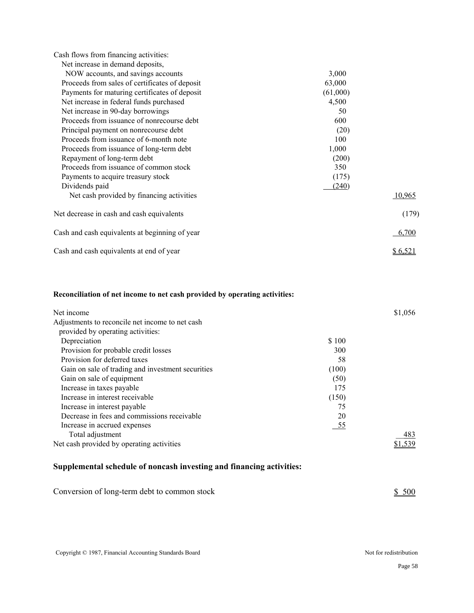| Cash flows from financing activities:          |          |         |
|------------------------------------------------|----------|---------|
| Net increase in demand deposits,               |          |         |
| NOW accounts, and savings accounts             | 3,000    |         |
| Proceeds from sales of certificates of deposit | 63,000   |         |
| Payments for maturing certificates of deposit  | (61,000) |         |
| Net increase in federal funds purchased        | 4,500    |         |
| Net increase in 90-day borrowings              | 50       |         |
| Proceeds from issuance of nonrecourse debt     | 600      |         |
| Principal payment on nonrecourse debt          | (20)     |         |
| Proceeds from issuance of 6-month note         | 100      |         |
| Proceeds from issuance of long-term debt       | 1,000    |         |
| Repayment of long-term debt                    | (200)    |         |
| Proceeds from issuance of common stock         | 350      |         |
| Payments to acquire treasury stock             | (175)    |         |
| Dividends paid                                 | (240)    |         |
| Net cash provided by financing activities      |          | 10,965  |
| Net decrease in cash and cash equivalents      |          | (179)   |
| Cash and cash equivalents at beginning of year |          | 6,700   |
| Cash and cash equivalents at end of year       |          | \$6,521 |

#### **Reconciliation of net income to net cash provided by operating activities:**

| Net income                                        |           | \$1,056 |
|---------------------------------------------------|-----------|---------|
| Adjustments to reconcile net income to net cash   |           |         |
| provided by operating activities:                 |           |         |
| Depreciation                                      | \$100     |         |
| Provision for probable credit losses              | 300       |         |
| Provision for deferred taxes                      | 58        |         |
| Gain on sale of trading and investment securities | (100)     |         |
| Gain on sale of equipment                         | (50)      |         |
| Increase in taxes payable                         | 175       |         |
| Increase in interest receivable                   | (150)     |         |
| Increase in interest payable                      | 75        |         |
| Decrease in fees and commissions receivable       | 20        |         |
| Increase in accrued expenses                      | <u>55</u> |         |
| Total adjustment                                  |           | 483     |
| Net cash provided by operating activities         |           |         |

# **Supplemental schedule of noncash investing and financing activities:**

| Conversion of long-term debt to common stock | \$500 |
|----------------------------------------------|-------|
|                                              |       |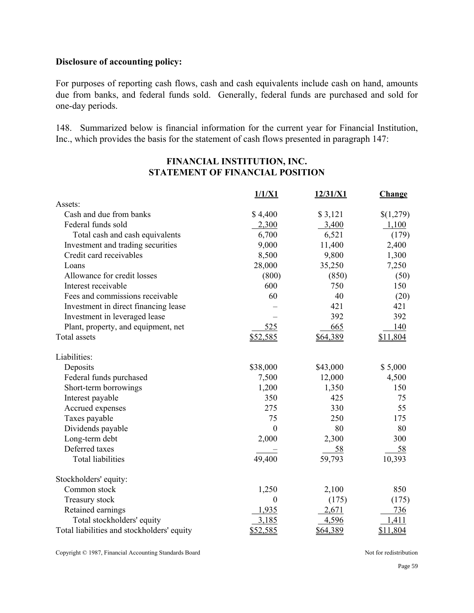## **Disclosure of accounting policy:**

For purposes of reporting cash flows, cash and cash equivalents include cash on hand, amounts due from banks, and federal funds sold. Generally, federal funds are purchased and sold for one-day periods.

148. Summarized below is financial information for the current year for Financial Institution, Inc., which provides the basis for the statement of cash flows presented in paragraph 147:

# **FINANCIAL INSTITUTION, INC. STATEMENT OF FINANCIAL POSITION**

|                                            | 1/1/X1           | 12/31/X1  | <b>Change</b> |
|--------------------------------------------|------------------|-----------|---------------|
| Assets:                                    |                  |           |               |
| Cash and due from banks                    | \$4,400          | \$3,121   | \$(1,279)     |
| Federal funds sold                         | 2,300            | 3,400     | 1,100         |
| Total cash and cash equivalents            | 6,700            | 6,521     | (179)         |
| Investment and trading securities          | 9,000            | 11,400    | 2,400         |
| Credit card receivables                    | 8,500            | 9,800     | 1,300         |
| Loans                                      | 28,000           | 35,250    | 7,250         |
| Allowance for credit losses                | (800)            | (850)     | (50)          |
| Interest receivable                        | 600              | 750       | 150           |
| Fees and commissions receivable            | 60               | 40        | (20)          |
| Investment in direct financing lease       |                  | 421       | 421           |
| Investment in leveraged lease              |                  | 392       | 392           |
| Plant, property, and equipment, net        | 525              | 665       | 140           |
| <b>Total</b> assets                        | \$52,585         | \$64,389  | \$11,804      |
| Liabilities:                               |                  |           |               |
| Deposits                                   | \$38,000         | \$43,000  | \$5,000       |
| Federal funds purchased                    | 7,500            | 12,000    | 4,500         |
| Short-term borrowings                      | 1,200            | 1,350     | 150           |
| Interest payable                           | 350              | 425       | 75            |
| Accrued expenses                           | 275              | 330       | 55            |
| Taxes payable                              | 75               | 250       | 175           |
| Dividends payable                          | $\boldsymbol{0}$ | 80        | 80            |
| Long-term debt                             | 2,000            | 2,300     | 300           |
| Deferred taxes                             |                  | <u>58</u> | 58            |
| <b>Total liabilities</b>                   | 49,400           | 59,793    | 10,393        |
| Stockholders' equity:                      |                  |           |               |
| Common stock                               | 1,250            | 2,100     | 850           |
| Treasury stock                             | 0                | (175)     | (175)         |
| Retained earnings                          | 1,935            | 2,671     | 736           |
| Total stockholders' equity                 | 3,185            | 4,596     | 1,411         |
| Total liabilities and stockholders' equity | \$52,585         | \$64,389  | \$11,804      |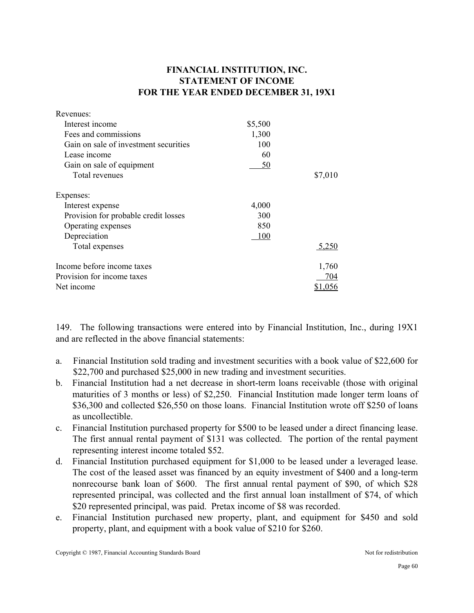# **FINANCIAL INSTITUTION, INC. STATEMENT OF INCOME FOR THE YEAR ENDED DECEMBER 31, 19X1**

| Revenues:                             |         |         |
|---------------------------------------|---------|---------|
| Interest income                       | \$5,500 |         |
| Fees and commissions                  | 1,300   |         |
| Gain on sale of investment securities | 100     |         |
| Lease income                          | 60      |         |
| Gain on sale of equipment             | 50      |         |
| Total revenues                        |         | \$7,010 |
| Expenses:                             |         |         |
| Interest expense                      | 4,000   |         |
| Provision for probable credit losses  | 300     |         |
| Operating expenses                    | 850     |         |
| Depreciation                          | 100     |         |
| Total expenses                        |         | 5,250   |
| Income before income taxes            |         | 1,760   |
| Provision for income taxes            |         | 704     |
| Net income                            |         |         |

149. The following transactions were entered into by Financial Institution, Inc., during 19X1 and are reflected in the above financial statements:

- a. Financial Institution sold trading and investment securities with a book value of \$22,600 for \$22,700 and purchased \$25,000 in new trading and investment securities.
- b. Financial Institution had a net decrease in short-term loans receivable (those with original maturities of 3 months or less) of \$2,250. Financial Institution made longer term loans of \$36,300 and collected \$26,550 on those loans. Financial Institution wrote off \$250 of loans as uncollectible.
- c. Financial Institution purchased property for \$500 to be leased under a direct financing lease. The first annual rental payment of \$131 was collected. The portion of the rental payment representing interest income totaled \$52.
- d. Financial Institution purchased equipment for \$1,000 to be leased under a leveraged lease. The cost of the leased asset was financed by an equity investment of \$400 and a long-term nonrecourse bank loan of \$600. The first annual rental payment of \$90, of which \$28 represented principal, was collected and the first annual loan installment of \$74, of which \$20 represented principal, was paid. Pretax income of \$8 was recorded.
- e. Financial Institution purchased new property, plant, and equipment for \$450 and sold property, plant, and equipment with a book value of \$210 for \$260.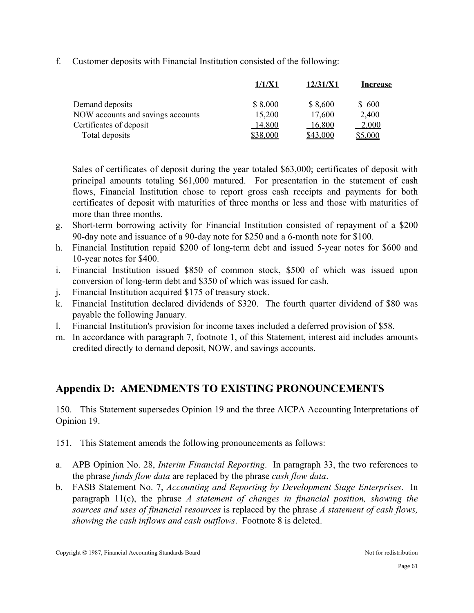f. Customer deposits with Financial Institution consisted of the following:

|                                   | 1/1/X1   | 12/31/X1 | Increase |
|-----------------------------------|----------|----------|----------|
| Demand deposits                   | \$8,000  | \$8,600  | \$600    |
| NOW accounts and savings accounts | 15,200   | 17,600   | 2,400    |
| Certificates of deposit           | 14,800   | 16,800   | 2,000    |
| Total deposits                    | \$38,000 | \$43,000 | \$5,000  |

 Sales of certificates of deposit during the year totaled \$63,000; certificates of deposit with principal amounts totaling \$61,000 matured. For presentation in the statement of cash flows, Financial Institution chose to report gross cash receipts and payments for both certificates of deposit with maturities of three months or less and those with maturities of more than three months.

- g. Short-term borrowing activity for Financial Institution consisted of repayment of a \$200 90-day note and issuance of a 90-day note for \$250 and a 6-month note for \$100.
- h. Financial Institution repaid \$200 of long-term debt and issued 5-year notes for \$600 and 10-year notes for \$400.
- i. Financial Institution issued \$850 of common stock, \$500 of which was issued upon conversion of long-term debt and \$350 of which was issued for cash.
- j. Financial Institution acquired \$175 of treasury stock.
- k. Financial Institution declared dividends of \$320. The fourth quarter dividend of \$80 was payable the following January.
- l. Financial Institution's provision for income taxes included a deferred provision of \$58.
- m. In accordance with paragraph 7, footnote 1, of this Statement, interest aid includes amounts credited directly to demand deposit, NOW, and savings accounts.

# **Appendix D: AMENDMENTS TO EXISTING PRONOUNCEMENTS**

150. This Statement supersedes Opinion 19 and the three AICPA Accounting Interpretations of Opinion 19.

- 151. This Statement amends the following pronouncements as follows:
- a. APB Opinion No. 28, *Interim Financial Reporting*. In paragraph 33, the two references to the phrase *funds flow data* are replaced by the phrase *cash flow data*.
- b. FASB Statement No. 7, *Accounting and Reporting by Development Stage Enterprises*. In paragraph 11(c), the phrase *A statement of changes in financial position, showing the sources and uses of financial resources* is replaced by the phrase *A statement of cash flows, showing the cash inflows and cash outflows*. Footnote 8 is deleted.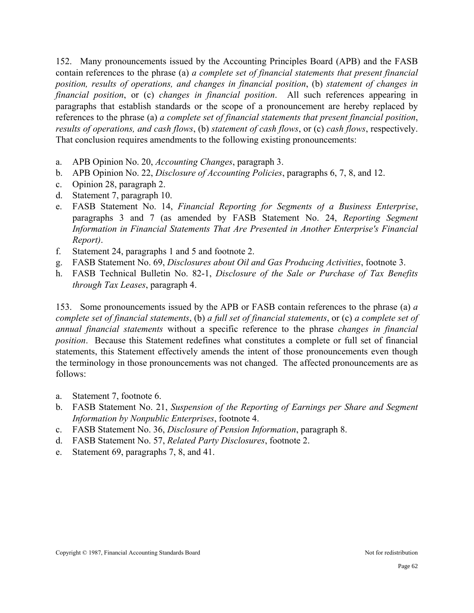152. Many pronouncements issued by the Accounting Principles Board (APB) and the FASB contain references to the phrase (a) *a complete set of financial statements that present financial position, results of operations, and changes in financial position*, (b) *statement of changes in financial position*, or (c) *changes in financial position*. All such references appearing in paragraphs that establish standards or the scope of a pronouncement are hereby replaced by references to the phrase (a) *a complete set of financial statements that present financial position*, *results of operations, and cash flows*, (b) *statement of cash flows*, or (c) *cash flows*, respectively. That conclusion requires amendments to the following existing pronouncements:

- a. APB Opinion No. 20, *Accounting Changes*, paragraph 3.
- b. APB Opinion No. 22, *Disclosure of Accounting Policies*, paragraphs 6, 7, 8, and 12.
- c. Opinion 28, paragraph 2.
- d. Statement 7, paragraph 10.
- e. FASB Statement No. 14, *Financial Reporting for Segments of a Business Enterprise*, paragraphs 3 and 7 (as amended by FASB Statement No. 24, *Reporting Segment Information in Financial Statements That Are Presented in Another Enterprise's Financial Report)*.
- f. Statement 24, paragraphs 1 and 5 and footnote 2.
- g. FASB Statement No. 69, *Disclosures about Oil and Gas Producing Activities*, footnote 3.
- h. FASB Technical Bulletin No. 82-1, *Disclosure of the Sale or Purchase of Tax Benefits through Tax Leases*, paragraph 4.

153. Some pronouncements issued by the APB or FASB contain references to the phrase (a) *a complete set of financial statements*, (b) *a full set of financial statements*, or (c) *a complete set of annual financial statements* without a specific reference to the phrase *changes in financial position*. Because this Statement redefines what constitutes a complete or full set of financial statements, this Statement effectively amends the intent of those pronouncements even though the terminology in those pronouncements was not changed. The affected pronouncements are as follows:

- a. Statement 7, footnote 6.
- b. FASB Statement No. 21, *Suspension of the Reporting of Earnings per Share and Segment Information by Nonpublic Enterprises*, footnote 4.
- c. FASB Statement No. 36, *Disclosure of Pension Information*, paragraph 8.
- d. FASB Statement No. 57, *Related Party Disclosures*, footnote 2.
- e. Statement 69, paragraphs 7, 8, and 41.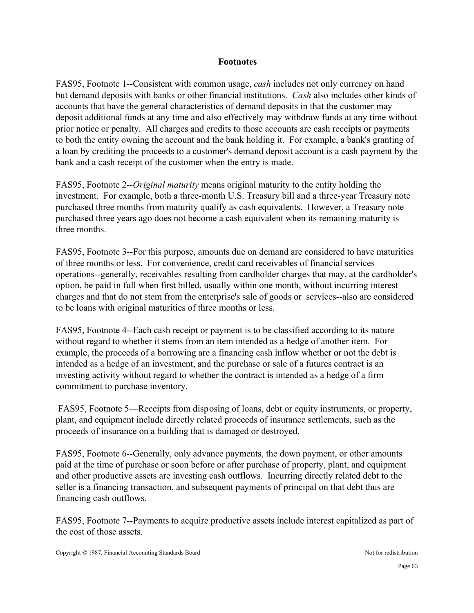#### **Footnotes**

<span id="page-62-0"></span>FAS95, Footnote 1--Consistent with common usage, *cash* includes not only currency on hand but demand deposits with banks or other financial institutions. *Cash* also includes other kinds of accounts that have the general characteristics of demand deposits in that the customer may deposit additional funds at any time and also effectively may withdraw funds at any time without prior notice or penalty. All charges and credits to those accounts are cash receipts or payments to both the entity owning the account and the bank holding it. For example, a bank's granting of a loan by crediting the proceeds to a customer's demand deposit account is a cash payment by the bank and a cash receipt of the customer when the entry is made.

FAS95, Footnote 2--*Original maturity* means original maturity to the entity holding the investment. For example, both a three-month U.S. Treasury bill and a three-year Treasury note purchased three months from maturity qualify as cash equivalents. However, a Treasury note purchased three years ago does not become a cash equivalent when its remaining maturity is three months.

FAS95, Footnote 3--For this purpose, amounts due on demand are considered to have maturities of three months or less. For convenience, credit card receivables of financial services operations--generally, receivables resulting from cardholder charges that may, at the cardholder's option, be paid in full when first billed, usually within one month, without incurring interest charges and that do not stem from the enterprise's sale of goods or services--also are considered to be loans with original maturities of three months or less.

FAS95, Footnote 4--Each cash receipt or payment is to be classified according to its nature without regard to whether it stems from an item intended as a hedge of another item. For example, the proceeds of a borrowing are a financing cash inflow whether or not the debt is intended as a hedge of an investment, and the purchase or sale of a futures contract is an investing activity without regard to whether the contract is intended as a hedge of a firm commitment to purchase inventory.

 FAS95, Footnote 5—Receipts from disposing of loans, debt or equity instruments, or property, plant, and equipment include directly related proceeds of insurance settlements, such as the proceeds of insurance on a building that is damaged or destroyed.

FAS95, Footnote 6--Generally, only advance payments, the down payment, or other amounts paid at the time of purchase or soon before or after purchase of property, plant, and equipment and other productive assets are investing cash outflows. Incurring directly related debt to the seller is a financing transaction, and subsequent payments of principal on that debt thus are financing cash outflows.

FAS95, Footnote 7--Payments to acquire productive assets include interest capitalized as part of the cost of those assets.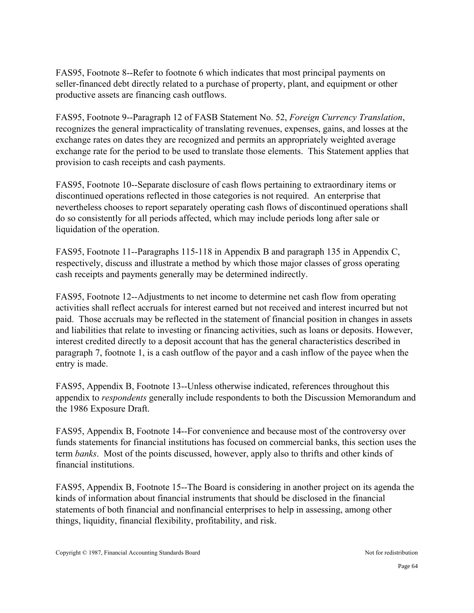<span id="page-63-0"></span>FAS95, Footnote 8--Refer to footnote 6 which indicates that most principal payments on seller-financed debt directly related to a purchase of property, plant, and equipment or other productive assets are financing cash outflows.

FAS95, Footnote 9--Paragraph 12 of FASB Statement No. 52, *Foreign Currency Translation*, recognizes the general impracticality of translating revenues, expenses, gains, and losses at the exchange rates on dates they are recognized and permits an appropriately weighted average exchange rate for the period to be used to translate those elements. This Statement applies that provision to cash receipts and cash payments.

FAS95, Footnote 10--Separate disclosure of cash flows pertaining to extraordinary items or discontinued operations reflected in those categories is not required. An enterprise that nevertheless chooses to report separately operating cash flows of discontinued operations shall do so consistently for all periods affected, which may include periods long after sale or liquidation of the operation.

FAS95, Footnote 11--Paragraphs 115-118 in Appendix B and paragraph 135 in Appendix C, respectively, discuss and illustrate a method by which those major classes of gross operating cash receipts and payments generally may be determined indirectly.

FAS95, Footnote 12--Adjustments to net income to determine net cash flow from operating activities shall reflect accruals for interest earned but not received and interest incurred but not paid. Those accruals may be reflected in the statement of financial position in changes in assets and liabilities that relate to investing or financing activities, such as loans or deposits. However, interest credited directly to a deposit account that has the general characteristics described in paragraph 7, footnote 1, is a cash outflow of the payor and a cash inflow of the payee when the entry is made.

<span id="page-63-1"></span>FAS95, Appendix B, Footnote 13--Unless otherwise indicated, references throughout this appendix to *respondents* generally include respondents to both the Discussion Memorandum and the 1986 Exposure Draft.

FAS95, Appendix B, Footnote 14--For convenience and because most of the controversy over funds statements for financial institutions has focused on commercial banks, this section uses the term *banks*. Most of the points discussed, however, apply also to thrifts and other kinds of financial institutions.

FAS95, Appendix B, Footnote 15--The Board is considering in another project on its agenda the kinds of information about financial instruments that should be disclosed in the financial statements of both financial and nonfinancial enterprises to help in assessing, among other things, liquidity, financial flexibility, profitability, and risk.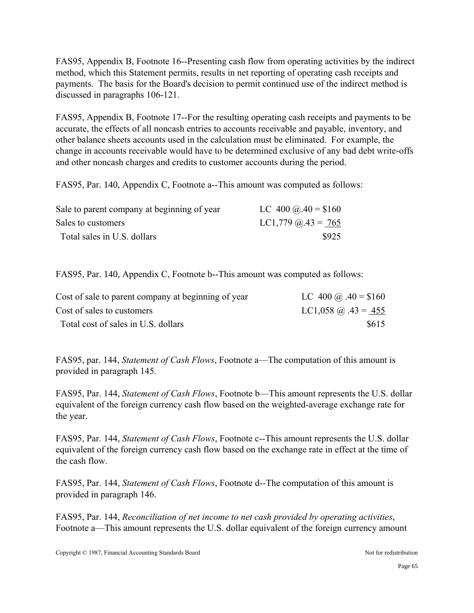<span id="page-64-4"></span><span id="page-64-3"></span><span id="page-64-2"></span><span id="page-64-1"></span><span id="page-64-0"></span>FAS95, Appendix B, Footnote 16--Presenting cash flow from operating activities by the indirect method, which this Statement permits, results in net reporting of operating cash receipts and payments. The basis for the Board's decision to permit continued use of the indirect method is discussed in paragraphs 106-121.

FAS95, Appendix B, Footnote 17--For the resulting operating cash receipts and payments to be accurate, the effects of all noncash entries to accounts receivable and payable, inventory, and other balance sheets accounts used in the calculation must be eliminated. For example, the change in accounts receivable would have to be determined exclusive of any bad debt write-offs and other noncash charges and credits to customer accounts during the period.

<span id="page-64-15"></span><span id="page-64-12"></span>FAS95, Par. 140, Appendix C, Footnote a--This amount was computed as follows:

<span id="page-64-9"></span>

| Sale to parent company at beginning of year | LC $400 \ (\partial 0.40 = $160$ |
|---------------------------------------------|----------------------------------|
| Sales to customers                          | LC1,779 @.43 = $\underline{765}$ |
| Total sales in U.S. dollars                 | \$925                            |

<span id="page-64-8"></span><span id="page-64-6"></span>FAS95, Par. 140, Appendix C, Footnote b--This amount was computed as follows:

<span id="page-64-13"></span><span id="page-64-10"></span><span id="page-64-7"></span><span id="page-64-5"></span>

| Cost of sale to parent company at beginning of year | LC $400 \ (\hat{\omega})$ $.40 = $160$ |
|-----------------------------------------------------|----------------------------------------|
| Cost of sales to customers                          | LC1,058 @ .43 = $\frac{455}{ }$        |
| Total cost of sales in U.S. dollars                 | \$615                                  |

<span id="page-64-19"></span><span id="page-64-14"></span><span id="page-64-11"></span>FAS95, par. 144, *Statement of Cash Flows*, Footnote a—The computation of this amount is provided in paragraph 145.

<span id="page-64-20"></span><span id="page-64-18"></span><span id="page-64-17"></span><span id="page-64-16"></span>FAS95, Par. 144, *Statement of Cash Flows*, Footnote b—This amount represents the U.S. dollar equivalent of the foreign currency cash flow based on the weighted-average exchange rate for the year.

FAS95, Par. 144, *Statement of Cash Flows*, Footnote c--This amount represents the U.S. dollar equivalent of the foreign currency cash flow based on the exchange rate in effect at the time of the cash flow.

FAS95, Par. 144, *Statement of Cash Flows*, Footnote d--The computation of this amount is provided in paragraph 146.

FAS95, Par. 144, *Reconciliation of net income to net cash provided by operating activities*, Footnote a—This amount represents the U.S. dollar equivalent of the foreign currency amount